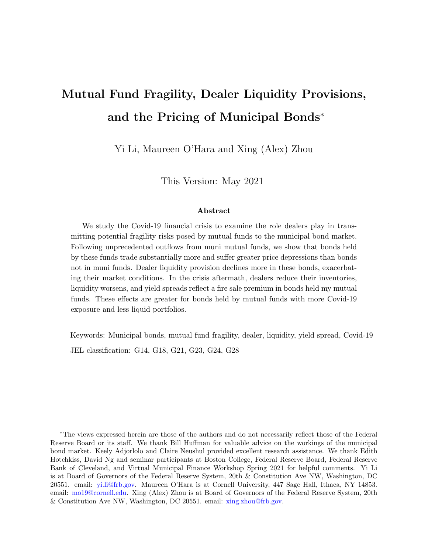## Mutual Fund Fragility, Dealer Liquidity Provisions, and the Pricing of Municipal Bonds<sup>∗</sup>

Yi Li, Maureen O'Hara and Xing (Alex) Zhou

This Version: May 2021

#### Abstract

We study the Covid-19 financial crisis to examine the role dealers play in transmitting potential fragility risks posed by mutual funds to the municipal bond market. Following unprecedented outflows from muni mutual funds, we show that bonds held by these funds trade substantially more and suffer greater price depressions than bonds not in muni funds. Dealer liquidity provision declines more in these bonds, exacerbating their market conditions. In the crisis aftermath, dealers reduce their inventories, liquidity worsens, and yield spreads reflect a fire sale premium in bonds held my mutual funds. These effects are greater for bonds held by mutual funds with more Covid-19 exposure and less liquid portfolios.

Keywords: Municipal bonds, mutual fund fragility, dealer, liquidity, yield spread, Covid-19 JEL classification: G14, G18, G21, G23, G24, G28

<sup>∗</sup>The views expressed herein are those of the authors and do not necessarily reflect those of the Federal Reserve Board or its staff. We thank Bill Huffman for valuable advice on the workings of the municipal bond market. Keely Adjorlolo and Claire Neushul provided excellent research assistance. We thank Edith Hotchkiss, David Ng and seminar participants at Boston College, Federal Reserve Board, Federal Reserve Bank of Cleveland, and Virtual Municipal Finance Workshop Spring 2021 for helpful comments. Yi Li is at Board of Governors of the Federal Reserve System, 20th & Constitution Ave NW, Washington, DC 20551. email: [yi.li@frb.gov.](mailto:yi.li@frb.gov) Maureen O'Hara is at Cornell University, 447 Sage Hall, Ithaca, NY 14853. email: [mo19@cornell.edu.](mo19@cornell.edu) Xing (Alex) Zhou is at Board of Governors of the Federal Reserve System, 20th & Constitution Ave NW, Washington, DC 20551. email: [xing.zhou@frb.gov.](mailto:xing.zhou@frb.gov)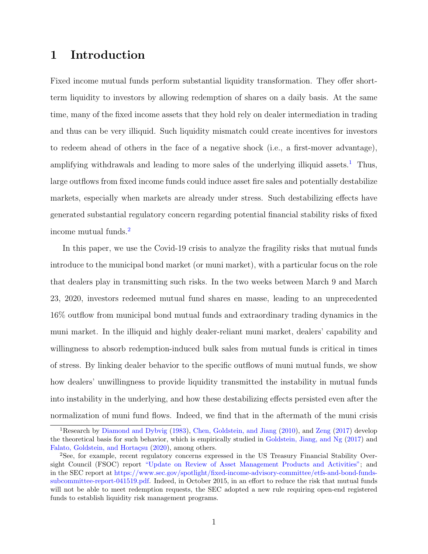## 1 Introduction

Fixed income mutual funds perform substantial liquidity transformation. They offer shortterm liquidity to investors by allowing redemption of shares on a daily basis. At the same time, many of the fixed income assets that they hold rely on dealer intermediation in trading and thus can be very illiquid. Such liquidity mismatch could create incentives for investors to redeem ahead of others in the face of a negative shock (i.e., a first-mover advantage), amplifying withdrawals and leading to more sales of the underlying illiquid assets.<sup>[1](#page-1-0)</sup> Thus, large outflows from fixed income funds could induce asset fire sales and potentially destabilize markets, especially when markets are already under stress. Such destabilizing effects have generated substantial regulatory concern regarding potential financial stability risks of fixed income mutual funds.[2](#page-1-1)

In this paper, we use the Covid-19 crisis to analyze the fragility risks that mutual funds introduce to the municipal bond market (or muni market), with a particular focus on the role that dealers play in transmitting such risks. In the two weeks between March 9 and March 23, 2020, investors redeemed mutual fund shares en masse, leading to an unprecedented 16% outflow from municipal bond mutual funds and extraordinary trading dynamics in the muni market. In the illiquid and highly dealer-reliant muni market, dealers' capability and willingness to absorb redemption-induced bulk sales from mutual funds is critical in times of stress. By linking dealer behavior to the specific outflows of muni mutual funds, we show how dealers' unwillingness to provide liquidity transmitted the instability in mutual funds into instability in the underlying, and how these destabilizing effects persisted even after the normalization of muni fund flows. Indeed, we find that in the aftermath of the muni crisis

<span id="page-1-0"></span><sup>&</sup>lt;sup>1</sup>Research by [Diamond and Dybvig](#page-31-0) [\(1983\)](#page-31-0), [Chen, Goldstein, and Jiang](#page-31-1) [\(2010\)](#page-31-1), and [Zeng](#page-34-0) [\(2017\)](#page-34-0) develop the theoretical basis for such behavior, which is empirically studied in [Goldstein, Jiang, and Ng](#page-32-0) [\(2017\)](#page-32-0) and Falato, Goldstein, and Hortaçsu [\(2020\)](#page-32-1), among others.

<span id="page-1-1"></span><sup>2</sup>See, for example, recent regulatory concerns expressed in the US Treasury Financial Stability Oversight Council (FSOC) report ["Update on Review of Asset Management Products and Activities";](https://www.treasury.gov/initiatives/fsoc/news/documents/fsoc%20update%20on%20review%20of%20asset%20management%20products%20and%20activities.pdf) and in the SEC report at [https://www.sec.gov/spotlight/fixed-income-advisory-committee/etfs-and-bond-funds](https://www.sec.gov/spotlight/fixed-income-advisory-committee/etfs-and-bond-funds-subcommittee-report-041519.pdf)[subcommittee-report-041519.pdf.](https://www.sec.gov/spotlight/fixed-income-advisory-committee/etfs-and-bond-funds-subcommittee-report-041519.pdf) Indeed, in October 2015, in an effort to reduce the risk that mutual funds will not be able to meet redemption requests, the SEC adopted a new rule requiring open-end registered funds to establish liquidity risk management programs.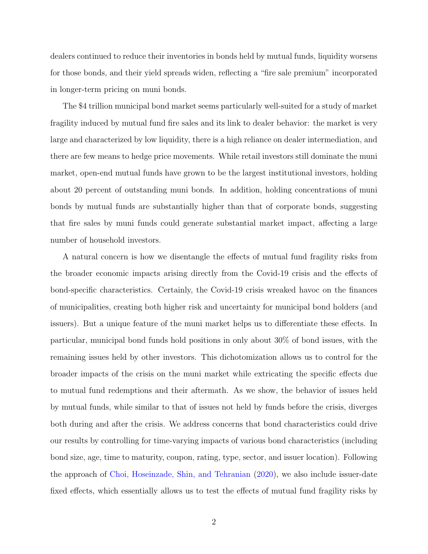dealers continued to reduce their inventories in bonds held by mutual funds, liquidity worsens for those bonds, and their yield spreads widen, reflecting a "fire sale premium" incorporated in longer-term pricing on muni bonds.

The \$4 trillion municipal bond market seems particularly well-suited for a study of market fragility induced by mutual fund fire sales and its link to dealer behavior: the market is very large and characterized by low liquidity, there is a high reliance on dealer intermediation, and there are few means to hedge price movements. While retail investors still dominate the muni market, open-end mutual funds have grown to be the largest institutional investors, holding about 20 percent of outstanding muni bonds. In addition, holding concentrations of muni bonds by mutual funds are substantially higher than that of corporate bonds, suggesting that fire sales by muni funds could generate substantial market impact, affecting a large number of household investors.

A natural concern is how we disentangle the effects of mutual fund fragility risks from the broader economic impacts arising directly from the Covid-19 crisis and the effects of bond-specific characteristics. Certainly, the Covid-19 crisis wreaked havoc on the finances of municipalities, creating both higher risk and uncertainty for municipal bond holders (and issuers). But a unique feature of the muni market helps us to differentiate these effects. In particular, municipal bond funds hold positions in only about 30% of bond issues, with the remaining issues held by other investors. This dichotomization allows us to control for the broader impacts of the crisis on the muni market while extricating the specific effects due to mutual fund redemptions and their aftermath. As we show, the behavior of issues held by mutual funds, while similar to that of issues not held by funds before the crisis, diverges both during and after the crisis. We address concerns that bond characteristics could drive our results by controlling for time-varying impacts of various bond characteristics (including bond size, age, time to maturity, coupon, rating, type, sector, and issuer location). Following the approach of [Choi, Hoseinzade, Shin, and Tehranian](#page-31-2) [\(2020\)](#page-31-2), we also include issuer-date fixed effects, which essentially allows us to test the effects of mutual fund fragility risks by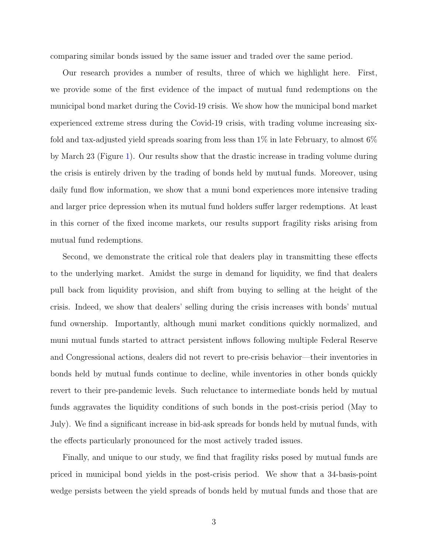comparing similar bonds issued by the same issuer and traded over the same period.

Our research provides a number of results, three of which we highlight here. First, we provide some of the first evidence of the impact of mutual fund redemptions on the municipal bond market during the Covid-19 crisis. We show how the municipal bond market experienced extreme stress during the Covid-19 crisis, with trading volume increasing sixfold and tax-adjusted yield spreads soaring from less than  $1\%$  in late February, to almost 6% by March 23 (Figure [1\)](#page-35-0). Our results show that the drastic increase in trading volume during the crisis is entirely driven by the trading of bonds held by mutual funds. Moreover, using daily fund flow information, we show that a muni bond experiences more intensive trading and larger price depression when its mutual fund holders suffer larger redemptions. At least in this corner of the fixed income markets, our results support fragility risks arising from mutual fund redemptions.

Second, we demonstrate the critical role that dealers play in transmitting these effects to the underlying market. Amidst the surge in demand for liquidity, we find that dealers pull back from liquidity provision, and shift from buying to selling at the height of the crisis. Indeed, we show that dealers' selling during the crisis increases with bonds' mutual fund ownership. Importantly, although muni market conditions quickly normalized, and muni mutual funds started to attract persistent inflows following multiple Federal Reserve and Congressional actions, dealers did not revert to pre-crisis behavior—their inventories in bonds held by mutual funds continue to decline, while inventories in other bonds quickly revert to their pre-pandemic levels. Such reluctance to intermediate bonds held by mutual funds aggravates the liquidity conditions of such bonds in the post-crisis period (May to July). We find a significant increase in bid-ask spreads for bonds held by mutual funds, with the effects particularly pronounced for the most actively traded issues.

Finally, and unique to our study, we find that fragility risks posed by mutual funds are priced in municipal bond yields in the post-crisis period. We show that a 34-basis-point wedge persists between the yield spreads of bonds held by mutual funds and those that are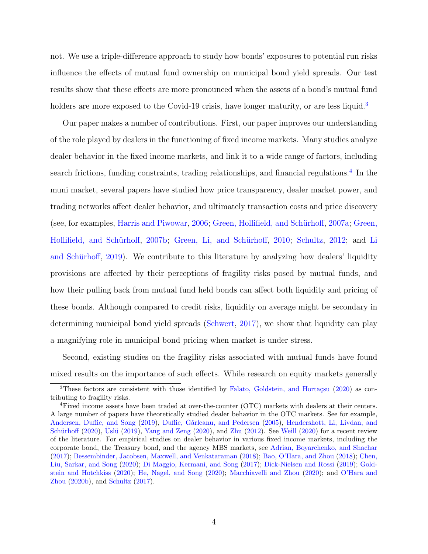not. We use a triple-difference approach to study how bonds' exposures to potential run risks influence the effects of mutual fund ownership on municipal bond yield spreads. Our test results show that these effects are more pronounced when the assets of a bond's mutual fund holders are more exposed to the Covid-19 crisis, have longer maturity, or are less liquid.<sup>[3](#page-4-0)</sup>

Our paper makes a number of contributions. First, our paper improves our understanding of the role played by dealers in the functioning of fixed income markets. Many studies analyze dealer behavior in the fixed income markets, and link it to a wide range of factors, including search frictions, funding constraints, trading relationships, and financial regulations.<sup>[4](#page-4-1)</sup> In the muni market, several papers have studied how price transparency, dealer market power, and trading networks affect dealer behavior, and ultimately transaction costs and price discovery (see, for examples, [Harris and Piwowar,](#page-32-2) [2006;](#page-32-2) Green, Hollifield, and Schürhoff, [2007a;](#page-32-3) [Green,](#page-32-4) Hollifield, and Schürhoff, [2007b;](#page-32-4) Green, Li, and Schürhoff, [2010;](#page-32-5) [Schultz,](#page-34-1) [2012;](#page-34-1) and [Li](#page-33-0) and Schürhoff, [2019\)](#page-33-0). We contribute to this literature by analyzing how dealers' liquidity provisions are affected by their perceptions of fragility risks posed by mutual funds, and how their pulling back from mutual fund held bonds can affect both liquidity and pricing of these bonds. Although compared to credit risks, liquidity on average might be secondary in determining municipal bond yield spreads [\(Schwert,](#page-34-2) [2017\)](#page-34-2), we show that liquidity can play a magnifying role in municipal bond pricing when market is under stress.

Second, existing studies on the fragility risks associated with mutual funds have found mixed results on the importance of such effects. While research on equity markets generally

<span id="page-4-0"></span><sup>&</sup>lt;sup>3</sup>These factors are consistent with those identified by Falato, Goldstein, and Hortaçsu [\(2020\)](#page-32-1) as contributing to fragility risks.

<span id="page-4-1"></span><sup>4</sup>Fixed income assets have been traded at over-the-counter (OTC) markets with dealers at their centers. A large number of papers have theoretically studied dealer behavior in the OTC markets. See for example, [Andersen, Duffie, and Song](#page-31-3) [\(2019\)](#page-31-3), Duffie, Gârleanu, and Pedersen [\(2005\)](#page-32-6), [Hendershott, Li, Livdan, and](#page-33-1) Schürhoff [\(2020\)](#page-34-6), Uslü [\(2019\)](#page-34-3), [Yang and Zeng](#page-34-4) (2020), and [Zhu](#page-34-5) [\(2012\)](#page-34-5). See [Weill](#page-34-6) (2020) for a recent review of the literature. For empirical studies on dealer behavior in various fixed income markets, including the corporate bond, the Treasury bond, and the agency MBS markets, see [Adrian, Boyarchenko, and Shachar](#page-31-4) [\(2017\)](#page-31-4); [Bessembinder, Jacobsen, Maxwell, and Venkataraman](#page-31-5) [\(2018\)](#page-31-5); [Bao, O'Hara, and Zhou](#page-31-6) [\(2018\)](#page-31-6); [Chen,](#page-31-7) [Liu, Sarkar, and Song](#page-31-7) [\(2020\)](#page-31-7); [Di Maggio, Kermani, and Song](#page-31-8) [\(2017\)](#page-31-8); [Dick-Nielsen and Rossi](#page-31-9) [\(2019\)](#page-31-9); [Gold](#page-32-7)[stein and Hotchkiss](#page-32-7) [\(2020\)](#page-32-7); [He, Nagel, and Song](#page-32-8) [\(2020\)](#page-32-8); [Macchiavelli and Zhou](#page-33-2) [\(2020\)](#page-33-2); and [O'Hara and](#page-33-3) [Zhou](#page-33-3) [\(2020b\)](#page-33-3), and [Schultz](#page-34-7) [\(2017\)](#page-34-7).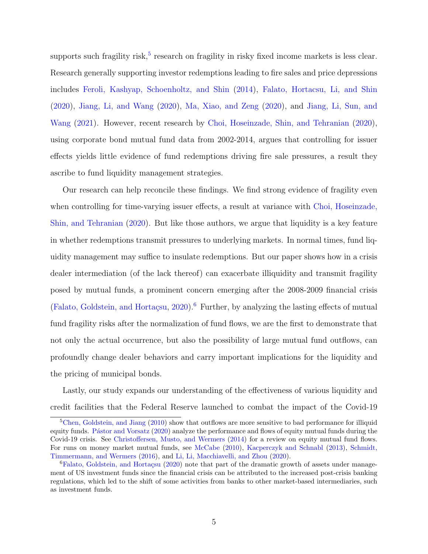supports such fragility risk,<sup>[5](#page-5-0)</sup> research on fragility in risky fixed income markets is less clear. Research generally supporting investor redemptions leading to fire sales and price depressions includes [Feroli, Kashyap, Schoenholtz, and Shin](#page-32-9) [\(2014\)](#page-32-9), [Falato, Hortacsu, Li, and Shin](#page-32-10) [\(2020\)](#page-32-10), [Jiang, Li, and Wang](#page-33-4) [\(2020\)](#page-33-4), [Ma, Xiao, and Zeng](#page-33-5) [\(2020\)](#page-33-5), and [Jiang, Li, Sun, and](#page-33-6) [Wang](#page-33-6) [\(2021\)](#page-33-6). However, recent research by [Choi, Hoseinzade, Shin, and Tehranian](#page-31-2) [\(2020\)](#page-31-2), using corporate bond mutual fund data from 2002-2014, argues that controlling for issuer effects yields little evidence of fund redemptions driving fire sale pressures, a result they ascribe to fund liquidity management strategies.

Our research can help reconcile these findings. We find strong evidence of fragility even when controlling for time-varying issuer effects, a result at variance with [Choi, Hoseinzade,](#page-31-2) [Shin, and Tehranian](#page-31-2) [\(2020\)](#page-31-2). But like those authors, we argue that liquidity is a key feature in whether redemptions transmit pressures to underlying markets. In normal times, fund liquidity management may suffice to insulate redemptions. But our paper shows how in a crisis dealer intermediation (of the lack thereof) can exacerbate illiquidity and transmit fragility posed by mutual funds, a prominent concern emerging after the 2008-2009 financial crisis (Falato, Goldstein, and Hortaçsu,  $2020$ ).<sup>[6](#page-5-1)</sup> Further, by analyzing the lasting effects of mutual fund fragility risks after the normalization of fund flows, we are the first to demonstrate that not only the actual occurrence, but also the possibility of large mutual fund outflows, can profoundly change dealer behaviors and carry important implications for the liquidity and the pricing of municipal bonds.

Lastly, our study expands our understanding of the effectiveness of various liquidity and credit facilities that the Federal Reserve launched to combat the impact of the Covid-19

<span id="page-5-0"></span><sup>&</sup>lt;sup>5</sup>[Chen, Goldstein, and Jiang](#page-31-1) [\(2010\)](#page-31-1) show that outflows are more sensitive to bad performance for illiquid equity funds. Pástor and Vorsatz [\(2020\)](#page-33-7) analyze the performance and flows of equity mutual funds during the Covid-19 crisis. See [Christoffersen, Musto, and Wermers](#page-31-10) [\(2014\)](#page-31-10) for a review on equity mutual fund flows. For runs on money market mutual funds, see [McCabe](#page-33-8) [\(2010\)](#page-33-8), [Kacperczyk and Schnabl](#page-33-9) [\(2013\)](#page-33-9), [Schmidt,](#page-34-8) [Timmermann, and Wermers](#page-34-8) [\(2016\)](#page-34-8), and [Li, Li, Macchiavelli, and Zhou](#page-33-10) [\(2020\)](#page-33-10).

<span id="page-5-1"></span> ${}^{6}$ Falato, Goldstein, and Hortaçsu [\(2020\)](#page-32-1) note that part of the dramatic growth of assets under management of US investment funds since the financial crisis can be attributed to the increased post-crisis banking regulations, which led to the shift of some activities from banks to other market-based intermediaries, such as investment funds.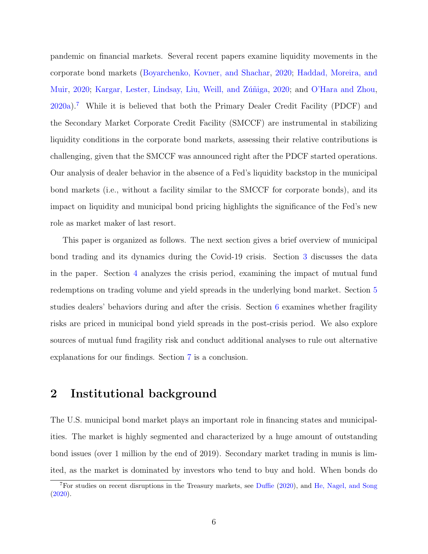pandemic on financial markets. Several recent papers examine liquidity movements in the corporate bond markets [\(Boyarchenko, Kovner, and Shachar,](#page-31-11) [2020;](#page-31-11) [Haddad, Moreira, and](#page-32-11) [Muir,](#page-32-11) [2020;](#page-33-11) Kargar, Lester, Lindsay, Liu, Weill, and Zúñiga, 2020; and [O'Hara and Zhou,](#page-33-12) [2020a\)](#page-33-12).[7](#page-6-0) While it is believed that both the Primary Dealer Credit Facility (PDCF) and the Secondary Market Corporate Credit Facility (SMCCF) are instrumental in stabilizing liquidity conditions in the corporate bond markets, assessing their relative contributions is challenging, given that the SMCCF was announced right after the PDCF started operations. Our analysis of dealer behavior in the absence of a Fed's liquidity backstop in the municipal bond markets (i.e., without a facility similar to the SMCCF for corporate bonds), and its impact on liquidity and municipal bond pricing highlights the significance of the Fed's new role as market maker of last resort.

This paper is organized as follows. The next section gives a brief overview of municipal bond trading and its dynamics during the Covid-19 crisis. Section [3](#page-8-0) discusses the data in the paper. Section [4](#page-10-0) analyzes the crisis period, examining the impact of mutual fund redemptions on trading volume and yield spreads in the underlying bond market. Section [5](#page-17-0) studies dealers' behaviors during and after the crisis. Section [6](#page-23-0) examines whether fragility risks are priced in municipal bond yield spreads in the post-crisis period. We also explore sources of mutual fund fragility risk and conduct additional analyses to rule out alternative explanations for our findings. Section [7](#page-29-0) is a conclusion.

## 2 Institutional background

The U.S. municipal bond market plays an important role in financing states and municipalities. The market is highly segmented and characterized by a huge amount of outstanding bond issues (over 1 million by the end of 2019). Secondary market trading in munis is limited, as the market is dominated by investors who tend to buy and hold. When bonds do

<span id="page-6-0"></span><sup>&</sup>lt;sup>7</sup>For studies on recent disruptions in the Treasury markets, see [Duffie](#page-32-12) [\(2020\)](#page-32-12), and [He, Nagel, and Song](#page-32-8) [\(2020\)](#page-32-8).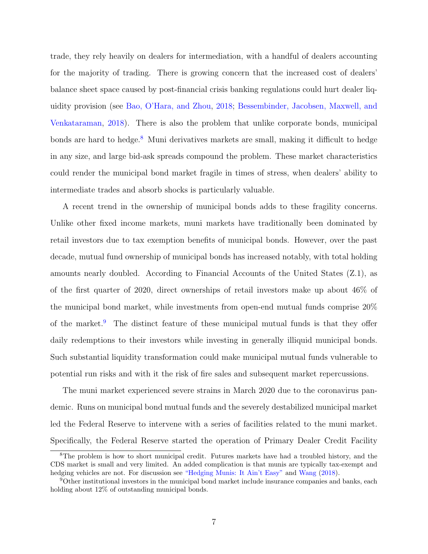trade, they rely heavily on dealers for intermediation, with a handful of dealers accounting for the majority of trading. There is growing concern that the increased cost of dealers' balance sheet space caused by post-financial crisis banking regulations could hurt dealer liquidity provision (see [Bao, O'Hara, and Zhou,](#page-31-6) [2018;](#page-31-6) [Bessembinder, Jacobsen, Maxwell, and](#page-31-5) [Venkataraman,](#page-31-5) [2018\)](#page-31-5). There is also the problem that unlike corporate bonds, municipal bonds are hard to hedge.<sup>[8](#page-7-0)</sup> Muni derivatives markets are small, making it difficult to hedge in any size, and large bid-ask spreads compound the problem. These market characteristics could render the municipal bond market fragile in times of stress, when dealers' ability to intermediate trades and absorb shocks is particularly valuable.

A recent trend in the ownership of municipal bonds adds to these fragility concerns. Unlike other fixed income markets, muni markets have traditionally been dominated by retail investors due to tax exemption benefits of municipal bonds. However, over the past decade, mutual fund ownership of municipal bonds has increased notably, with total holding amounts nearly doubled. According to Financial Accounts of the United States (Z.1), as of the first quarter of 2020, direct ownerships of retail investors make up about 46% of the municipal bond market, while investments from open-end mutual funds comprise 20% of the market.<sup>[9](#page-7-1)</sup> The distinct feature of these municipal mutual funds is that they offer daily redemptions to their investors while investing in generally illiquid municipal bonds. Such substantial liquidity transformation could make municipal mutual funds vulnerable to potential run risks and with it the risk of fire sales and subsequent market repercussions.

The muni market experienced severe strains in March 2020 due to the coronavirus pandemic. Runs on municipal bond mutual funds and the severely destabilized municipal market led the Federal Reserve to intervene with a series of facilities related to the muni market. Specifically, the Federal Reserve started the operation of Primary Dealer Credit Facility

<span id="page-7-0"></span><sup>&</sup>lt;sup>8</sup>The problem is how to short municipal credit. Futures markets have had a troubled history, and the CDS market is small and very limited. An added complication is that munis are typically tax-exempt and hedging vehicles are not. For discussion see ["Hedging Munis: It Ain't Easy"](https://www.financial-planning.com/news/hedging-munis-it-aint-easy) and [Wang](#page-34-9) [\(2018\)](#page-34-9).

<span id="page-7-1"></span><sup>9</sup>Other institutional investors in the municipal bond market include insurance companies and banks, each holding about 12% of outstanding municipal bonds.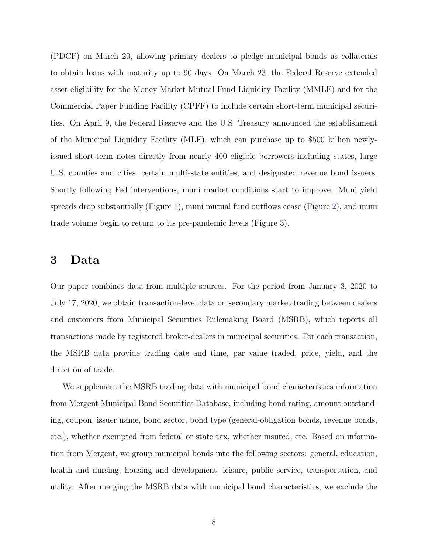(PDCF) on March 20, allowing primary dealers to pledge municipal bonds as collaterals to obtain loans with maturity up to 90 days. On March 23, the Federal Reserve extended asset eligibility for the Money Market Mutual Fund Liquidity Facility (MMLF) and for the Commercial Paper Funding Facility (CPFF) to include certain short-term municipal securities. On April 9, the Federal Reserve and the U.S. Treasury announced the establishment of the Municipal Liquidity Facility (MLF), which can purchase up to \$500 billion newlyissued short-term notes directly from nearly 400 eligible borrowers including states, large U.S. counties and cities, certain multi-state entities, and designated revenue bond issuers. Shortly following Fed interventions, muni market conditions start to improve. Muni yield spreads drop substantially (Figure [1\)](#page-35-0), muni mutual fund outflows cease (Figure [2\)](#page-36-0), and muni trade volume begin to return to its pre-pandemic levels (Figure [3\)](#page-37-0).

### <span id="page-8-0"></span>3 Data

Our paper combines data from multiple sources. For the period from January 3, 2020 to July 17, 2020, we obtain transaction-level data on secondary market trading between dealers and customers from Municipal Securities Rulemaking Board (MSRB), which reports all transactions made by registered broker-dealers in municipal securities. For each transaction, the MSRB data provide trading date and time, par value traded, price, yield, and the direction of trade.

We supplement the MSRB trading data with municipal bond characteristics information from Mergent Municipal Bond Securities Database, including bond rating, amount outstanding, coupon, issuer name, bond sector, bond type (general-obligation bonds, revenue bonds, etc.), whether exempted from federal or state tax, whether insured, etc. Based on information from Mergent, we group municipal bonds into the following sectors: general, education, health and nursing, housing and development, leisure, public service, transportation, and utility. After merging the MSRB data with municipal bond characteristics, we exclude the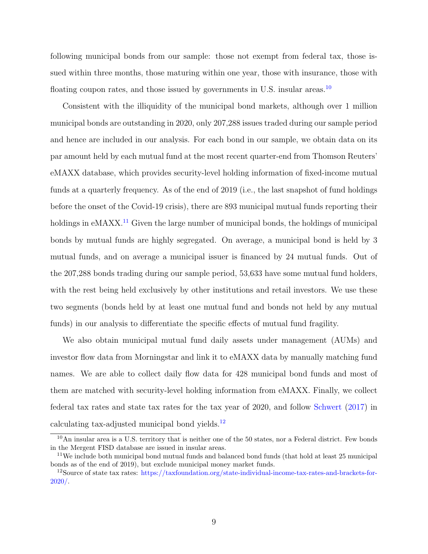following municipal bonds from our sample: those not exempt from federal tax, those issued within three months, those maturing within one year, those with insurance, those with floating coupon rates, and those issued by governments in U.S. insular areas.<sup>[10](#page-9-0)</sup>

Consistent with the illiquidity of the municipal bond markets, although over 1 million municipal bonds are outstanding in 2020, only 207,288 issues traded during our sample period and hence are included in our analysis. For each bond in our sample, we obtain data on its par amount held by each mutual fund at the most recent quarter-end from Thomson Reuters' eMAXX database, which provides security-level holding information of fixed-income mutual funds at a quarterly frequency. As of the end of 2019 (i.e., the last snapshot of fund holdings before the onset of the Covid-19 crisis), there are 893 municipal mutual funds reporting their holdings in eMAXX<sup>[11](#page-9-1)</sup> Given the large number of municipal bonds, the holdings of municipal bonds by mutual funds are highly segregated. On average, a municipal bond is held by 3 mutual funds, and on average a municipal issuer is financed by 24 mutual funds. Out of the 207,288 bonds trading during our sample period, 53,633 have some mutual fund holders, with the rest being held exclusively by other institutions and retail investors. We use these two segments (bonds held by at least one mutual fund and bonds not held by any mutual funds) in our analysis to differentiate the specific effects of mutual fund fragility.

We also obtain municipal mutual fund daily assets under management (AUMs) and investor flow data from Morningstar and link it to eMAXX data by manually matching fund names. We are able to collect daily flow data for 428 municipal bond funds and most of them are matched with security-level holding information from eMAXX. Finally, we collect federal tax rates and state tax rates for the tax year of 2020, and follow [Schwert](#page-34-2) [\(2017\)](#page-34-2) in calculating tax-adjusted municipal bond yields. $^{12}$  $^{12}$  $^{12}$ 

<span id="page-9-0"></span><sup>10</sup>An insular area is a U.S. territory that is neither one of the 50 states, nor a Federal district. Few bonds in the Mergent FISD database are issued in insular areas.

<span id="page-9-1"></span><sup>11</sup>We include both municipal bond mutual funds and balanced bond funds (that hold at least 25 municipal bonds as of the end of 2019), but exclude municipal money market funds.

<span id="page-9-2"></span><sup>12</sup>Source of state tax rates: [https://taxfoundation.org/state-individual-income-tax-rates-and-brackets-for-](https://taxfoundation.org/state-individual-income-tax-rates-and-brackets-for-2020/)[2020/.](https://taxfoundation.org/state-individual-income-tax-rates-and-brackets-for-2020/)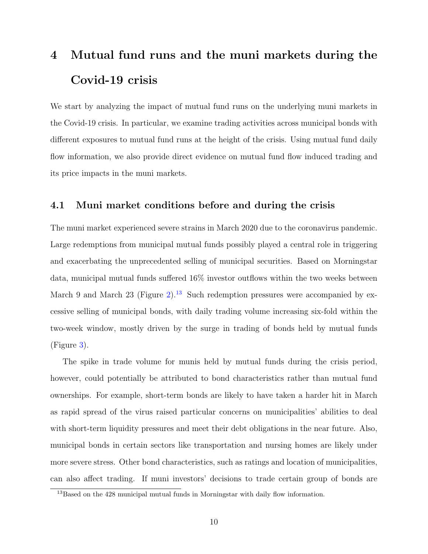## <span id="page-10-0"></span>4 Mutual fund runs and the muni markets during the Covid-19 crisis

We start by analyzing the impact of mutual fund runs on the underlying muni markets in the Covid-19 crisis. In particular, we examine trading activities across municipal bonds with different exposures to mutual fund runs at the height of the crisis. Using mutual fund daily flow information, we also provide direct evidence on mutual fund flow induced trading and its price impacts in the muni markets.

#### 4.1 Muni market conditions before and during the crisis

The muni market experienced severe strains in March 2020 due to the coronavirus pandemic. Large redemptions from municipal mutual funds possibly played a central role in triggering and exacerbating the unprecedented selling of municipal securities. Based on Morningstar data, municipal mutual funds suffered 16% investor outflows within the two weeks between March 9 and March 23 (Figure [2\)](#page-36-0).<sup>[13](#page-10-1)</sup> Such redemption pressures were accompanied by excessive selling of municipal bonds, with daily trading volume increasing six-fold within the two-week window, mostly driven by the surge in trading of bonds held by mutual funds (Figure [3\)](#page-37-0).

The spike in trade volume for munis held by mutual funds during the crisis period, however, could potentially be attributed to bond characteristics rather than mutual fund ownerships. For example, short-term bonds are likely to have taken a harder hit in March as rapid spread of the virus raised particular concerns on municipalities' abilities to deal with short-term liquidity pressures and meet their debt obligations in the near future. Also, municipal bonds in certain sectors like transportation and nursing homes are likely under more severe stress. Other bond characteristics, such as ratings and location of municipalities, can also affect trading. If muni investors' decisions to trade certain group of bonds are

<span id="page-10-1"></span><sup>&</sup>lt;sup>13</sup>Based on the 428 municipal mutual funds in Morningstar with daily flow information.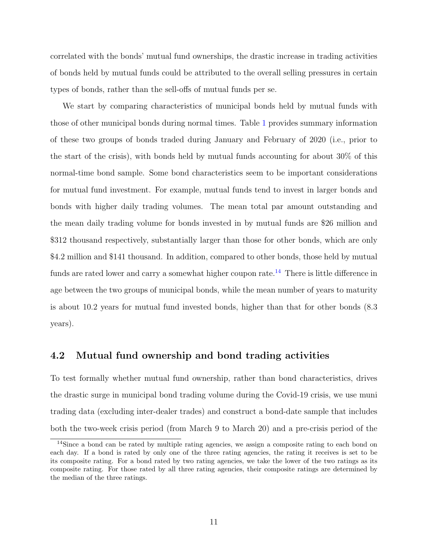correlated with the bonds' mutual fund ownerships, the drastic increase in trading activities of bonds held by mutual funds could be attributed to the overall selling pressures in certain types of bonds, rather than the sell-offs of mutual funds per se.

We start by comparing characteristics of municipal bonds held by mutual funds with those of other municipal bonds during normal times. Table [1](#page-40-0) provides summary information of these two groups of bonds traded during January and February of 2020 (i.e., prior to the start of the crisis), with bonds held by mutual funds accounting for about 30% of this normal-time bond sample. Some bond characteristics seem to be important considerations for mutual fund investment. For example, mutual funds tend to invest in larger bonds and bonds with higher daily trading volumes. The mean total par amount outstanding and the mean daily trading volume for bonds invested in by mutual funds are \$26 million and \$312 thousand respectively, substantially larger than those for other bonds, which are only \$4.2 million and \$141 thousand. In addition, compared to other bonds, those held by mutual funds are rated lower and carry a somewhat higher coupon rate.<sup>[14](#page-11-0)</sup> There is little difference in age between the two groups of municipal bonds, while the mean number of years to maturity is about 10.2 years for mutual fund invested bonds, higher than that for other bonds (8.3 years).

#### 4.2 Mutual fund ownership and bond trading activities

To test formally whether mutual fund ownership, rather than bond characteristics, drives the drastic surge in municipal bond trading volume during the Covid-19 crisis, we use muni trading data (excluding inter-dealer trades) and construct a bond-date sample that includes both the two-week crisis period (from March 9 to March 20) and a pre-crisis period of the

<span id="page-11-0"></span><sup>&</sup>lt;sup>14</sup>Since a bond can be rated by multiple rating agencies, we assign a composite rating to each bond on each day. If a bond is rated by only one of the three rating agencies, the rating it receives is set to be its composite rating. For a bond rated by two rating agencies, we take the lower of the two ratings as its composite rating. For those rated by all three rating agencies, their composite ratings are determined by the median of the three ratings.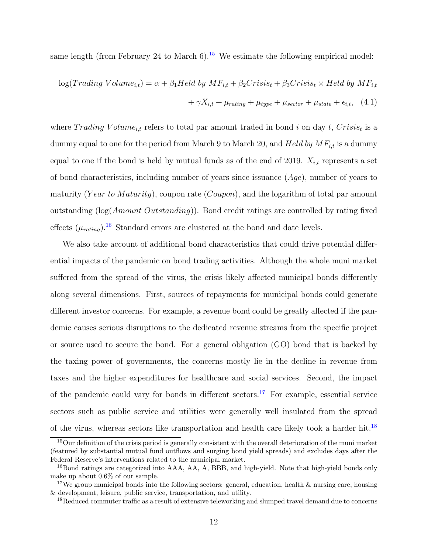same length (from February 24 to March  $6$ ).<sup>[15](#page-12-0)</sup> We estimate the following empirical model:

<span id="page-12-4"></span>
$$
log(Trading Volume_{i,t}) = \alpha + \beta_1 Held by MF_{i,t} + \beta_2 Crisis_t + \beta_3 Crisis_t \times Held by MF_{i,t}
$$

$$
+ \gamma X_{i,t} + \mu_{rating} + \mu_{type} + \mu_{sector} + \mu_{state} + \epsilon_{i,t}, \quad (4.1)
$$

where  $T^{rading}$  Volume<sub>i,t</sub> refers to total par amount traded in bond i on day t,  $Crisis_t$  is a dummy equal to one for the period from March 9 to March 20, and Held by  $MF_{i,t}$  is a dummy equal to one if the bond is held by mutual funds as of the end of 2019.  $X_{i,t}$  represents a set of bond characteristics, including number of years since issuance  $(Age)$ , number of years to maturity (Year to Maturity), coupon rate (Coupon), and the logarithm of total par amount outstanding (log(Amount Outstanding)). Bond credit ratings are controlled by rating fixed effects  $(\mu_{rating})$ .<sup>[16](#page-12-1)</sup> Standard errors are clustered at the bond and date levels.

We also take account of additional bond characteristics that could drive potential differential impacts of the pandemic on bond trading activities. Although the whole muni market suffered from the spread of the virus, the crisis likely affected municipal bonds differently along several dimensions. First, sources of repayments for municipal bonds could generate different investor concerns. For example, a revenue bond could be greatly affected if the pandemic causes serious disruptions to the dedicated revenue streams from the specific project or source used to secure the bond. For a general obligation (GO) bond that is backed by the taxing power of governments, the concerns mostly lie in the decline in revenue from taxes and the higher expenditures for healthcare and social services. Second, the impact of the pandemic could vary for bonds in different sectors.<sup>[17](#page-12-2)</sup> For example, essential service sectors such as public service and utilities were generally well insulated from the spread of the virus, whereas sectors like transportation and health care likely took a harder hit.[18](#page-12-3)

<span id="page-12-0"></span><sup>&</sup>lt;sup>15</sup>Our definition of the crisis period is generally consistent with the overall deterioration of the muni market (featured by substantial mutual fund outflows and surging bond yield spreads) and excludes days after the Federal Reserve's interventions related to the municipal market.

<span id="page-12-1"></span> $^{16}$ Bond ratings are categorized into AAA, AA, A, BBB, and high-yield. Note that high-yield bonds only make up about 0.6% of our sample.

<span id="page-12-2"></span><sup>&</sup>lt;sup>17</sup>We group municipal bonds into the following sectors: general, education, health  $\&$  nursing care, housing & development, leisure, public service, transportation, and utility.

<span id="page-12-3"></span><sup>&</sup>lt;sup>18</sup>Reduced commuter traffic as a result of extensive teleworking and slumped travel demand due to concerns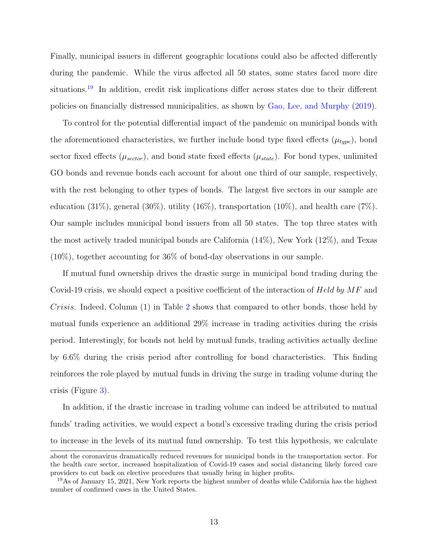Finally, municipal issuers in different geographic locations could also be affected differently during the pandemic. While the virus affected all 50 states, some states faced more dire situations.<sup>[19](#page-13-0)</sup> In addition, credit risk implications differ across states due to their different policies on financially distressed municipalities, as shown by [Gao, Lee, and Murphy](#page-32-13) [\(2019\)](#page-32-13).

To control for the potential differential impact of the pandemic on municipal bonds with the aforementioned characteristics, we further include bond type fixed effects  $(\mu_{type})$ , bond sector fixed effects  $(\mu_{sector})$ , and bond state fixed effects  $(\mu_{state})$ . For bond types, unlimited GO bonds and revenue bonds each account for about one third of our sample, respectively, with the rest belonging to other types of bonds. The largest five sectors in our sample are education  $(31\%)$ , general  $(30\%)$ , utility  $(16\%)$ , transportation  $(10\%)$ , and health care  $(7\%)$ . Our sample includes municipal bond issuers from all 50 states. The top three states with the most actively traded municipal bonds are California (14%), New York (12%), and Texas (10%), together accounting for 36% of bond-day observations in our sample.

If mutual fund ownership drives the drastic surge in municipal bond trading during the Covid-19 crisis, we should expect a positive coefficient of the interaction of Held by  $MF$  and Crisis. Indeed, Column (1) in Table [2](#page-41-0) shows that compared to other bonds, those held by mutual funds experience an additional 29% increase in trading activities during the crisis period. Interestingly, for bonds not held by mutual funds, trading activities actually decline by 6.6% during the crisis period after controlling for bond characteristics. This finding reinforces the role played by mutual funds in driving the surge in trading volume during the crisis (Figure [3\)](#page-37-0).

In addition, if the drastic increase in trading volume can indeed be attributed to mutual funds' trading activities, we would expect a bond's excessive trading during the crisis period to increase in the levels of its mutual fund ownership. To test this hypothesis, we calculate

about the coronavirus dramatically reduced revenues for municipal bonds in the transportation sector. For the health care sector, increased hospitalization of Covid-19 cases and social distancing likely forced care providers to cut back on elective procedures that usually bring in higher profits.

<span id="page-13-0"></span><sup>&</sup>lt;sup>19</sup>As of January 15, 2021, New York reports the highest number of deaths while California has the highest number of confirmed cases in the United States.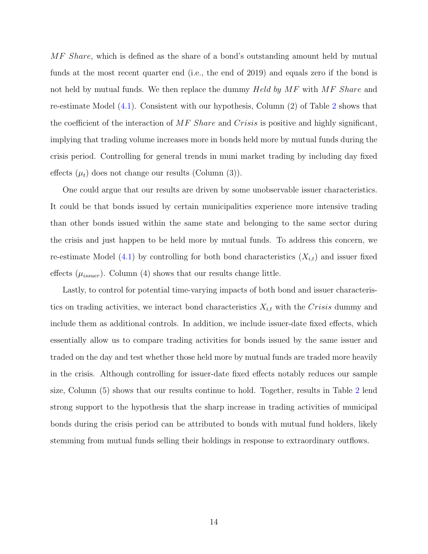MF Share, which is defined as the share of a bond's outstanding amount held by mutual funds at the most recent quarter end (i.e., the end of 2019) and equals zero if the bond is not held by mutual funds. We then replace the dummy Held by MF with MF Share and re-estimate Model [\(4.1\)](#page-12-4). Consistent with our hypothesis, Column (2) of Table [2](#page-41-0) shows that the coefficient of the interaction of  $MF$  Share and Crisis is positive and highly significant, implying that trading volume increases more in bonds held more by mutual funds during the crisis period. Controlling for general trends in muni market trading by including day fixed effects  $(\mu_t)$  does not change our results (Column (3)).

One could argue that our results are driven by some unobservable issuer characteristics. It could be that bonds issued by certain municipalities experience more intensive trading than other bonds issued within the same state and belonging to the same sector during the crisis and just happen to be held more by mutual funds. To address this concern, we re-estimate Model [\(4.1\)](#page-12-4) by controlling for both bond characteristics  $(X_{i,t})$  and issuer fixed effects  $(\mu_{issue})$ . Column (4) shows that our results change little.

Lastly, to control for potential time-varying impacts of both bond and issuer characteristics on trading activities, we interact bond characteristics  $X_{i,t}$  with the Crisis dummy and include them as additional controls. In addition, we include issuer-date fixed effects, which essentially allow us to compare trading activities for bonds issued by the same issuer and traded on the day and test whether those held more by mutual funds are traded more heavily in the crisis. Although controlling for issuer-date fixed effects notably reduces our sample size, Column (5) shows that our results continue to hold. Together, results in Table [2](#page-41-0) lend strong support to the hypothesis that the sharp increase in trading activities of municipal bonds during the crisis period can be attributed to bonds with mutual fund holders, likely stemming from mutual funds selling their holdings in response to extraordinary outflows.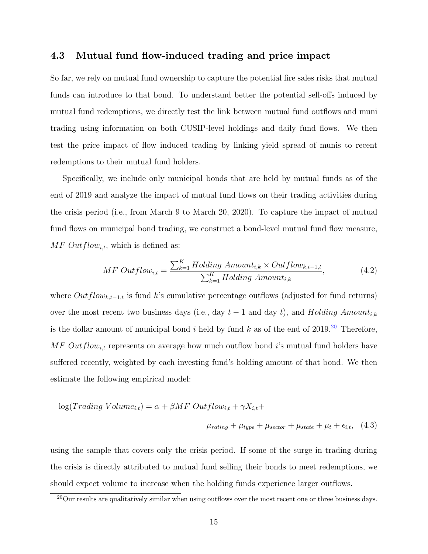#### 4.3 Mutual fund flow-induced trading and price impact

So far, we rely on mutual fund ownership to capture the potential fire sales risks that mutual funds can introduce to that bond. To understand better the potential sell-offs induced by mutual fund redemptions, we directly test the link between mutual fund outflows and muni trading using information on both CUSIP-level holdings and daily fund flows. We then test the price impact of flow induced trading by linking yield spread of munis to recent redemptions to their mutual fund holders.

Specifically, we include only municipal bonds that are held by mutual funds as of the end of 2019 and analyze the impact of mutual fund flows on their trading activities during the crisis period (i.e., from March 9 to March 20, 2020). To capture the impact of mutual fund flows on municipal bond trading, we construct a bond-level mutual fund flow measure,  $MF\ Outflow_{i,t}$ , which is defined as:

<span id="page-15-1"></span>
$$
MF\ Outflow_{i,t} = \frac{\sum_{k=1}^{K} Holding\ Amount_{i,k} \times Outflow_{k,t-1,t}}{\sum_{k=1}^{K} Holding\ Amount_{i,k}},\tag{4.2}
$$

where  $Outflow_{k,t-1,t}$  is fund k's cumulative percentage outflows (adjusted for fund returns) over the most recent two business days (i.e., day  $t-1$  and day t), and Holding Amount<sub>i,k</sub> is the dollar amount of municipal bond i held by fund k as of the end of  $2019<sup>20</sup>$  $2019<sup>20</sup>$  Therefore,  $MF\ Outflow_{i,t}$  represents on average how much outflow bond i's mutual fund holders have suffered recently, weighted by each investing fund's holding amount of that bond. We then estimate the following empirical model:

$$
log(Trading \ Volume_{i,t}) = \alpha + \beta MF \ Outputflow_{i,t} + \gamma X_{i,t} +
$$

$$
\mu_{rating} + \mu_{type} + \mu_{sector} + \mu_{state} + \mu_t + \epsilon_{i,t}, \quad (4.3)
$$

using the sample that covers only the crisis period. If some of the surge in trading during the crisis is directly attributed to mutual fund selling their bonds to meet redemptions, we should expect volume to increase when the holding funds experience larger outflows.

<span id="page-15-0"></span><sup>&</sup>lt;sup>20</sup>Our results are qualitatively similar when using outflows over the most recent one or three business days.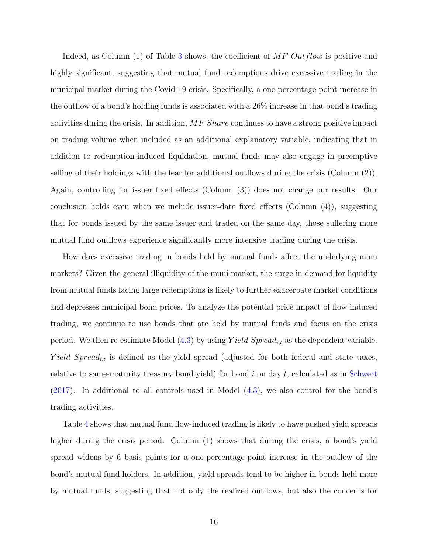Indeed, as Column  $(1)$  of Table [3](#page-42-0) shows, the coefficient of MF Outflow is positive and highly significant, suggesting that mutual fund redemptions drive excessive trading in the municipal market during the Covid-19 crisis. Specifically, a one-percentage-point increase in the outflow of a bond's holding funds is associated with a 26% increase in that bond's trading activities during the crisis. In addition, MF Share continues to have a strong positive impact on trading volume when included as an additional explanatory variable, indicating that in addition to redemption-induced liquidation, mutual funds may also engage in preemptive selling of their holdings with the fear for additional outflows during the crisis (Column (2)). Again, controlling for issuer fixed effects (Column (3)) does not change our results. Our conclusion holds even when we include issuer-date fixed effects (Column (4)), suggesting that for bonds issued by the same issuer and traded on the same day, those suffering more mutual fund outflows experience significantly more intensive trading during the crisis.

How does excessive trading in bonds held by mutual funds affect the underlying muni markets? Given the general illiquidity of the muni market, the surge in demand for liquidity from mutual funds facing large redemptions is likely to further exacerbate market conditions and depresses municipal bond prices. To analyze the potential price impact of flow induced trading, we continue to use bonds that are held by mutual funds and focus on the crisis period. We then re-estimate Model  $(4.3)$  by using Yield Spread<sub>it</sub> as the dependent variable. Yield Spread<sub>i,t</sub> is defined as the yield spread (adjusted for both federal and state taxes, relative to same-maturity treasury bond yield) for bond  $i$  on day  $t$ , calculated as in [Schwert](#page-34-2) [\(2017\)](#page-34-2). In additional to all controls used in Model [\(4.3\)](#page-15-1), we also control for the bond's trading activities.

Table [4](#page-43-0) shows that mutual fund flow-induced trading is likely to have pushed yield spreads higher during the crisis period. Column (1) shows that during the crisis, a bond's yield spread widens by 6 basis points for a one-percentage-point increase in the outflow of the bond's mutual fund holders. In addition, yield spreads tend to be higher in bonds held more by mutual funds, suggesting that not only the realized outflows, but also the concerns for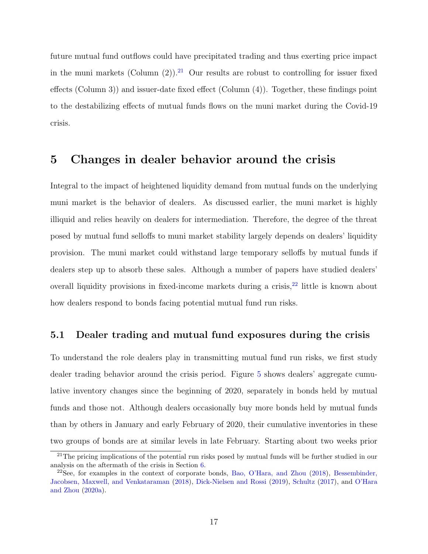future mutual fund outflows could have precipitated trading and thus exerting price impact in the muni markets (Column  $(2)$ ).<sup>[21](#page-17-1)</sup> Our results are robust to controlling for issuer fixed effects (Column 3)) and issuer-date fixed effect (Column (4)). Together, these findings point to the destabilizing effects of mutual funds flows on the muni market during the Covid-19 crisis.

### <span id="page-17-0"></span>5 Changes in dealer behavior around the crisis

Integral to the impact of heightened liquidity demand from mutual funds on the underlying muni market is the behavior of dealers. As discussed earlier, the muni market is highly illiquid and relies heavily on dealers for intermediation. Therefore, the degree of the threat posed by mutual fund selloffs to muni market stability largely depends on dealers' liquidity provision. The muni market could withstand large temporary selloffs by mutual funds if dealers step up to absorb these sales. Although a number of papers have studied dealers' overall liquidity provisions in fixed-income markets during a crisis,  $2^2$  little is known about how dealers respond to bonds facing potential mutual fund run risks.

#### 5.1 Dealer trading and mutual fund exposures during the crisis

To understand the role dealers play in transmitting mutual fund run risks, we first study dealer trading behavior around the crisis period. Figure [5](#page-39-0) shows dealers' aggregate cumulative inventory changes since the beginning of 2020, separately in bonds held by mutual funds and those not. Although dealers occasionally buy more bonds held by mutual funds than by others in January and early February of 2020, their cumulative inventories in these two groups of bonds are at similar levels in late February. Starting about two weeks prior

<span id="page-17-1"></span><sup>&</sup>lt;sup>21</sup>The pricing implications of the potential run risks posed by mutual funds will be further studied in our analysis on the aftermath of the crisis in Section [6.](#page-23-0)

<span id="page-17-2"></span> $22$ See, for examples in the context of corporate bonds, [Bao, O'Hara, and Zhou](#page-31-6) [\(2018\)](#page-31-6), [Bessembinder,](#page-31-5) [Jacobsen, Maxwell, and Venkataraman](#page-31-5) [\(2018\)](#page-31-5), [Dick-Nielsen and Rossi](#page-31-9) [\(2019\)](#page-31-9), [Schultz](#page-34-7) [\(2017\)](#page-34-7), and [O'Hara](#page-33-12) [and Zhou](#page-33-12) [\(2020a\)](#page-33-12).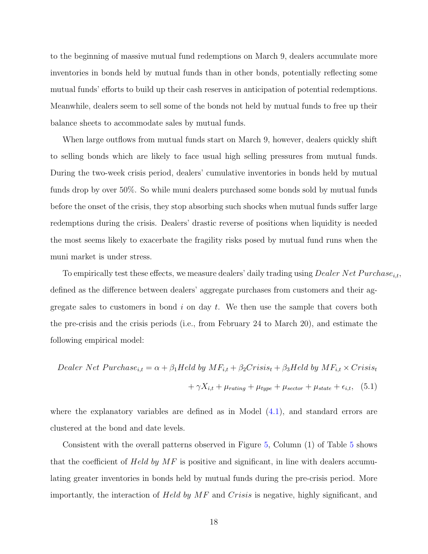to the beginning of massive mutual fund redemptions on March 9, dealers accumulate more inventories in bonds held by mutual funds than in other bonds, potentially reflecting some mutual funds' efforts to build up their cash reserves in anticipation of potential redemptions. Meanwhile, dealers seem to sell some of the bonds not held by mutual funds to free up their balance sheets to accommodate sales by mutual funds.

When large outflows from mutual funds start on March 9, however, dealers quickly shift to selling bonds which are likely to face usual high selling pressures from mutual funds. During the two-week crisis period, dealers' cumulative inventories in bonds held by mutual funds drop by over 50%. So while muni dealers purchased some bonds sold by mutual funds before the onset of the crisis, they stop absorbing such shocks when mutual funds suffer large redemptions during the crisis. Dealers' drastic reverse of positions when liquidity is needed the most seems likely to exacerbate the fragility risks posed by mutual fund runs when the muni market is under stress.

To empirically test these effects, we measure dealers' daily trading using *Dealer Net Purchase*<sub>it</sub>, defined as the difference between dealers' aggregate purchases from customers and their aggregate sales to customers in bond  $i$  on day  $t$ . We then use the sample that covers both the pre-crisis and the crisis periods (i.e., from February 24 to March 20), and estimate the following empirical model:

$$
Dealer Net Purchase_{i,t} = \alpha + \beta_1 Held by MF_{i,t} + \beta_2 Crisis_t + \beta_3 Held by MF_{i,t} \times Crisis_t
$$

$$
+ \gamma X_{i,t} + \mu_{rating} + \mu_{type} + \mu_{sector} + \mu_{state} + \epsilon_{i,t}, \quad (5.1)
$$

where the explanatory variables are defined as in Model  $(4.1)$ , and standard errors are clustered at the bond and date levels.

Consistent with the overall patterns observed in Figure [5,](#page-39-0) Column (1) of Table [5](#page-44-0) shows that the coefficient of Held by  $MF$  is positive and significant, in line with dealers accumulating greater inventories in bonds held by mutual funds during the pre-crisis period. More importantly, the interaction of Held by MF and Crisis is negative, highly significant, and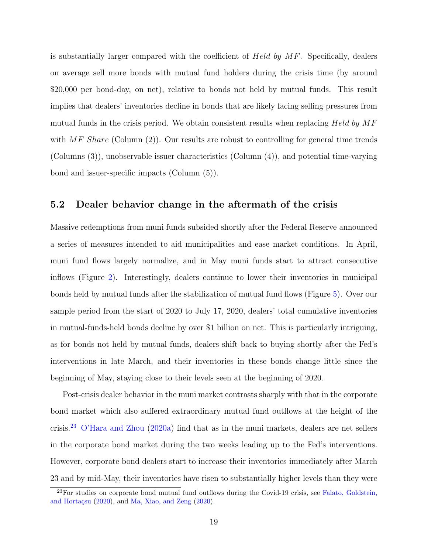is substantially larger compared with the coefficient of Held by MF. Specifically, dealers on average sell more bonds with mutual fund holders during the crisis time (by around \$20,000 per bond-day, on net), relative to bonds not held by mutual funds. This result implies that dealers' inventories decline in bonds that are likely facing selling pressures from mutual funds in the crisis period. We obtain consistent results when replacing  $Held$  by  $MF$ with  $MF$  Share (Column (2)). Our results are robust to controlling for general time trends (Columns (3)), unobservable issuer characteristics (Column (4)), and potential time-varying bond and issuer-specific impacts (Column (5)).

#### 5.2 Dealer behavior change in the aftermath of the crisis

Massive redemptions from muni funds subsided shortly after the Federal Reserve announced a series of measures intended to aid municipalities and ease market conditions. In April, muni fund flows largely normalize, and in May muni funds start to attract consecutive inflows (Figure [2\)](#page-36-0). Interestingly, dealers continue to lower their inventories in municipal bonds held by mutual funds after the stabilization of mutual fund flows (Figure [5\)](#page-39-0). Over our sample period from the start of 2020 to July 17, 2020, dealers' total cumulative inventories in mutual-funds-held bonds decline by over \$1 billion on net. This is particularly intriguing, as for bonds not held by mutual funds, dealers shift back to buying shortly after the Fed's interventions in late March, and their inventories in these bonds change little since the beginning of May, staying close to their levels seen at the beginning of 2020.

Post-crisis dealer behavior in the muni market contrasts sharply with that in the corporate bond market which also suffered extraordinary mutual fund outflows at the height of the crisis.[23](#page-19-0) [O'Hara and Zhou](#page-33-12) [\(2020a\)](#page-33-12) find that as in the muni markets, dealers are net sellers in the corporate bond market during the two weeks leading up to the Fed's interventions. However, corporate bond dealers start to increase their inventories immediately after March 23 and by mid-May, their inventories have risen to substantially higher levels than they were

<span id="page-19-0"></span> $^{23}$ For studies on corporate bond mutual fund outflows during the Covid-19 crisis, see [Falato, Goldstein,](#page-32-1) and Hortaçsu  $(2020)$ , and [Ma, Xiao, and Zeng](#page-33-5)  $(2020)$ .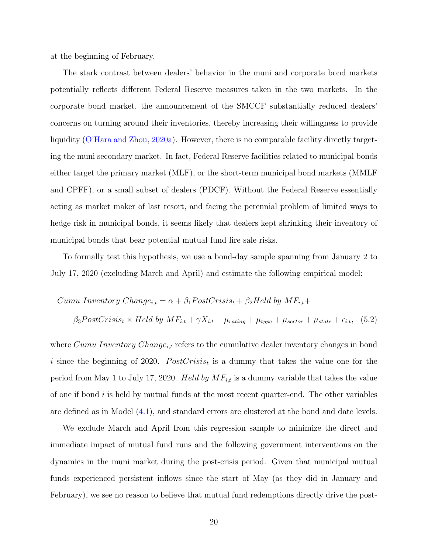at the beginning of February.

The stark contrast between dealers' behavior in the muni and corporate bond markets potentially reflects different Federal Reserve measures taken in the two markets. In the corporate bond market, the announcement of the SMCCF substantially reduced dealers' concerns on turning around their inventories, thereby increasing their willingness to provide liquidity [\(O'Hara and Zhou,](#page-33-12) [2020a\)](#page-33-12). However, there is no comparable facility directly targeting the muni secondary market. In fact, Federal Reserve facilities related to municipal bonds either target the primary market (MLF), or the short-term municipal bond markets (MMLF and CPFF), or a small subset of dealers (PDCF). Without the Federal Reserve essentially acting as market maker of last resort, and facing the perennial problem of limited ways to hedge risk in municipal bonds, it seems likely that dealers kept shrinking their inventory of municipal bonds that bear potential mutual fund fire sale risks.

To formally test this hypothesis, we use a bond-day sample spanning from January 2 to July 17, 2020 (excluding March and April) and estimate the following empirical model:

$$
Cumu\ Inventory\ Change_{i,t} = \alpha + \beta_1 PostCrisis_t + \beta_2 Held\ by\ MF_{i,t} +
$$

<span id="page-20-0"></span>
$$
\beta_3 PostCrisis_t \times Held
$$
 by  $MF_{i,t} + \gamma X_{i,t} + \mu_{rating} + \mu_{type} + \mu_{sector} + \mu_{state} + \epsilon_{i,t}$ , (5.2)

where  $Cumu\ Inventory\ Change_{i,t}$  refers to the cumulative dealer inventory changes in bond i since the beginning of 2020.  $PostCrisis_t$  is a dummy that takes the value one for the period from May 1 to July 17, 2020. Held by  $MF_{i,t}$  is a dummy variable that takes the value of one if bond  $i$  is held by mutual funds at the most recent quarter-end. The other variables are defined as in Model [\(4.1\)](#page-12-4), and standard errors are clustered at the bond and date levels.

We exclude March and April from this regression sample to minimize the direct and immediate impact of mutual fund runs and the following government interventions on the dynamics in the muni market during the post-crisis period. Given that municipal mutual funds experienced persistent inflows since the start of May (as they did in January and February), we see no reason to believe that mutual fund redemptions directly drive the post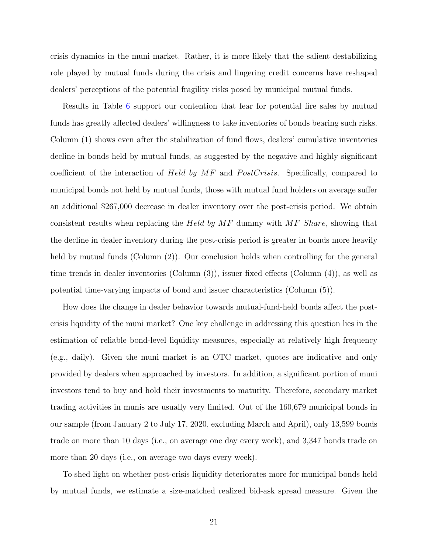crisis dynamics in the muni market. Rather, it is more likely that the salient destabilizing role played by mutual funds during the crisis and lingering credit concerns have reshaped dealers' perceptions of the potential fragility risks posed by municipal mutual funds.

Results in Table [6](#page-45-0) support our contention that fear for potential fire sales by mutual funds has greatly affected dealers' willingness to take inventories of bonds bearing such risks. Column (1) shows even after the stabilization of fund flows, dealers' cumulative inventories decline in bonds held by mutual funds, as suggested by the negative and highly significant coefficient of the interaction of Held by  $MF$  and PostCrisis. Specifically, compared to municipal bonds not held by mutual funds, those with mutual fund holders on average suffer an additional \$267,000 decrease in dealer inventory over the post-crisis period. We obtain consistent results when replacing the Held by  $MF$  dummy with  $MF$  Share, showing that the decline in dealer inventory during the post-crisis period is greater in bonds more heavily held by mutual funds (Column (2)). Our conclusion holds when controlling for the general time trends in dealer inventories (Column (3)), issuer fixed effects (Column (4)), as well as potential time-varying impacts of bond and issuer characteristics (Column (5)).

How does the change in dealer behavior towards mutual-fund-held bonds affect the postcrisis liquidity of the muni market? One key challenge in addressing this question lies in the estimation of reliable bond-level liquidity measures, especially at relatively high frequency (e.g., daily). Given the muni market is an OTC market, quotes are indicative and only provided by dealers when approached by investors. In addition, a significant portion of muni investors tend to buy and hold their investments to maturity. Therefore, secondary market trading activities in munis are usually very limited. Out of the 160,679 municipal bonds in our sample (from January 2 to July 17, 2020, excluding March and April), only 13,599 bonds trade on more than 10 days (i.e., on average one day every week), and 3,347 bonds trade on more than 20 days (i.e., on average two days every week).

To shed light on whether post-crisis liquidity deteriorates more for municipal bonds held by mutual funds, we estimate a size-matched realized bid-ask spread measure. Given the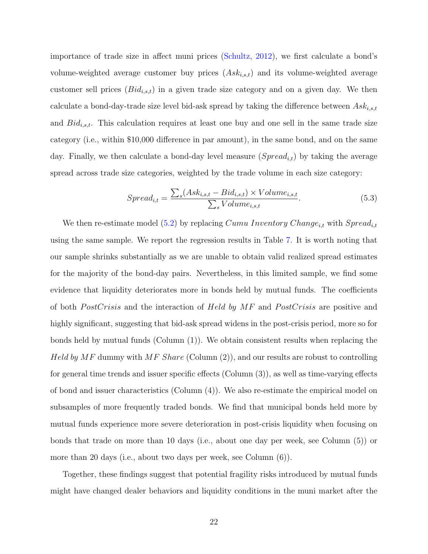importance of trade size in affect muni prices [\(Schultz,](#page-34-1) [2012\)](#page-34-1), we first calculate a bond's volume-weighted average customer buy prices  $(Ask_{i,s,t})$  and its volume-weighted average customer sell prices  $(Bid_{i,s,t})$  in a given trade size category and on a given day. We then calculate a bond-day-trade size level bid-ask spread by taking the difference between  $Ask_{i,s,t}$ and  $Bid_{i,s,t}$ . This calculation requires at least one buy and one sell in the same trade size category (i.e., within \$10,000 difference in par amount), in the same bond, and on the same day. Finally, we then calculate a bond-day level measure  $(Spread_{i,t})$  by taking the average spread across trade size categories, weighted by the trade volume in each size category:

$$
Spread_{i,t} = \frac{\sum_{s}(Ask_{i,s,t} - Bid_{i,s,t}) \times Volume_{i,s,t}}{\sum_{s}Volume_{i,s,t}}.
$$
\n(5.3)

We then re-estimate model [\(5.2\)](#page-20-0) by replacing Cumu Inventory Change<sub>i,t</sub> with  $Spred_{i,t}$ using the same sample. We report the regression results in Table [7.](#page-46-0) It is worth noting that our sample shrinks substantially as we are unable to obtain valid realized spread estimates for the majority of the bond-day pairs. Nevertheless, in this limited sample, we find some evidence that liquidity deteriorates more in bonds held by mutual funds. The coefficients of both *PostCrisis* and the interaction of *Held by MF* and *PostCrisis* are positive and highly significant, suggesting that bid-ask spread widens in the post-crisis period, more so for bonds held by mutual funds (Column (1)). We obtain consistent results when replacing the *Held by MF* dummy with  $MF$  *Share* (Column (2)), and our results are robust to controlling for general time trends and issuer specific effects (Column (3)), as well as time-varying effects of bond and issuer characteristics (Column (4)). We also re-estimate the empirical model on subsamples of more frequently traded bonds. We find that municipal bonds held more by mutual funds experience more severe deterioration in post-crisis liquidity when focusing on bonds that trade on more than 10 days (i.e., about one day per week, see Column (5)) or more than 20 days (i.e., about two days per week, see Column (6)).

Together, these findings suggest that potential fragility risks introduced by mutual funds might have changed dealer behaviors and liquidity conditions in the muni market after the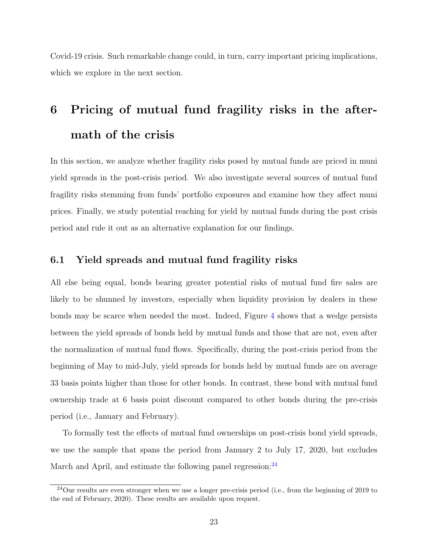Covid-19 crisis. Such remarkable change could, in turn, carry important pricing implications, which we explore in the next section.

# <span id="page-23-0"></span>6 Pricing of mutual fund fragility risks in the aftermath of the crisis

In this section, we analyze whether fragility risks posed by mutual funds are priced in muni yield spreads in the post-crisis period. We also investigate several sources of mutual fund fragility risks stemming from funds' portfolio exposures and examine how they affect muni prices. Finally, we study potential reaching for yield by mutual funds during the post crisis period and rule it out as an alternative explanation for our findings.

#### 6.1 Yield spreads and mutual fund fragility risks

All else being equal, bonds bearing greater potential risks of mutual fund fire sales are likely to be shunned by investors, especially when liquidity provision by dealers in these bonds may be scarce when needed the most. Indeed, Figure [4](#page-38-0) shows that a wedge persists between the yield spreads of bonds held by mutual funds and those that are not, even after the normalization of mutual fund flows. Specifically, during the post-crisis period from the beginning of May to mid-July, yield spreads for bonds held by mutual funds are on average 33 basis points higher than those for other bonds. In contrast, these bond with mutual fund ownership trade at 6 basis point discount compared to other bonds during the pre-crisis period (i.e., January and February).

To formally test the effects of mutual fund ownerships on post-crisis bond yield spreads, we use the sample that spans the period from January 2 to July 17, 2020, but excludes March and April, and estimate the following panel regression: $^{24}$  $^{24}$  $^{24}$ 

<span id="page-23-1"></span><sup>24</sup>Our results are even stronger when we use a longer pre-crisis period (i.e., from the beginning of 2019 to the end of February, 2020). These results are available upon request.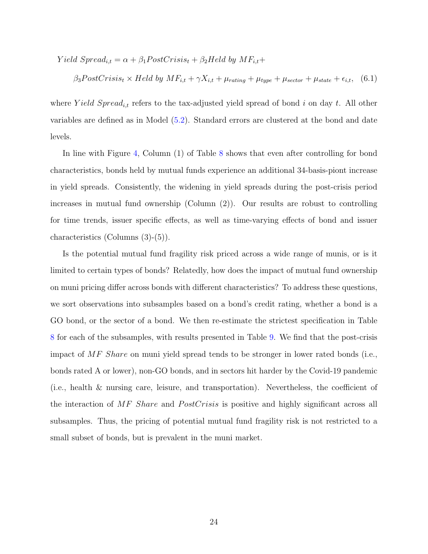Yield  $Spread_{i,t} = \alpha + \beta_1 PostCrisis_t + \beta_2Hello$  by  $MF_{i,t} +$ 

<span id="page-24-0"></span>
$$
\beta_3 PostCrisis_t \times Held by MF_{i,t} + \gamma X_{i,t} + \mu_{rating} + \mu_{type} + \mu_{sector} + \mu_{state} + \epsilon_{i,t}, \quad (6.1)
$$

where Yield Spread<sub>i,t</sub> refers to the tax-adjusted yield spread of bond i on day t. All other variables are defined as in Model [\(5.2\)](#page-20-0). Standard errors are clustered at the bond and date levels.

In line with Figure [4,](#page-38-0) Column (1) of Table [8](#page-47-0) shows that even after controlling for bond characteristics, bonds held by mutual funds experience an additional 34-basis-piont increase in yield spreads. Consistently, the widening in yield spreads during the post-crisis period increases in mutual fund ownership (Column (2)). Our results are robust to controlling for time trends, issuer specific effects, as well as time-varying effects of bond and issuer characteristics (Columns (3)-(5)).

Is the potential mutual fund fragility risk priced across a wide range of munis, or is it limited to certain types of bonds? Relatedly, how does the impact of mutual fund ownership on muni pricing differ across bonds with different characteristics? To address these questions, we sort observations into subsamples based on a bond's credit rating, whether a bond is a GO bond, or the sector of a bond. We then re-estimate the strictest specification in Table [8](#page-47-0) for each of the subsamples, with results presented in Table [9.](#page-48-0) We find that the post-crisis impact of MF Share on muni yield spread tends to be stronger in lower rated bonds (i.e., bonds rated A or lower), non-GO bonds, and in sectors hit harder by the Covid-19 pandemic (i.e., health & nursing care, leisure, and transportation). Nevertheless, the coefficient of the interaction of  $MF$  Share and PostCrisis is positive and highly significant across all subsamples. Thus, the pricing of potential mutual fund fragility risk is not restricted to a small subset of bonds, but is prevalent in the muni market.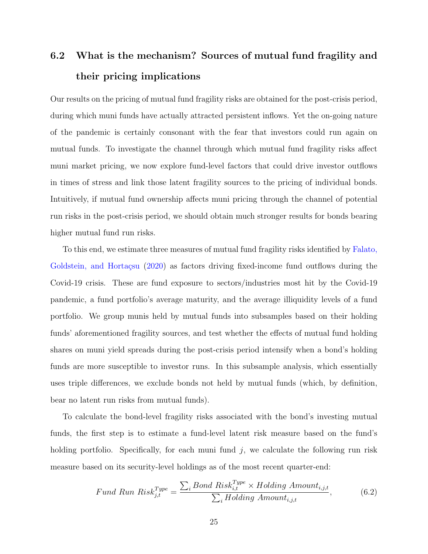## 6.2 What is the mechanism? Sources of mutual fund fragility and their pricing implications

Our results on the pricing of mutual fund fragility risks are obtained for the post-crisis period, during which muni funds have actually attracted persistent inflows. Yet the on-going nature of the pandemic is certainly consonant with the fear that investors could run again on mutual funds. To investigate the channel through which mutual fund fragility risks affect muni market pricing, we now explore fund-level factors that could drive investor outflows in times of stress and link those latent fragility sources to the pricing of individual bonds. Intuitively, if mutual fund ownership affects muni pricing through the channel of potential run risks in the post-crisis period, we should obtain much stronger results for bonds bearing higher mutual fund run risks.

To this end, we estimate three measures of mutual fund fragility risks identified by [Falato,](#page-32-1) Goldstein, and Hortaçsu [\(2020\)](#page-32-1) as factors driving fixed-income fund outflows during the Covid-19 crisis. These are fund exposure to sectors/industries most hit by the Covid-19 pandemic, a fund portfolio's average maturity, and the average illiquidity levels of a fund portfolio. We group munis held by mutual funds into subsamples based on their holding funds' aforementioned fragility sources, and test whether the effects of mutual fund holding shares on muni yield spreads during the post-crisis period intensify when a bond's holding funds are more susceptible to investor runs. In this subsample analysis, which essentially uses triple differences, we exclude bonds not held by mutual funds (which, by definition, bear no latent run risks from mutual funds).

To calculate the bond-level fragility risks associated with the bond's investing mutual funds, the first step is to estimate a fund-level latent risk measure based on the fund's holding portfolio. Specifically, for each muni fund  $j$ , we calculate the following run risk measure based on its security-level holdings as of the most recent quarter-end:

<span id="page-25-0"></span>
$$
Fund\ Run\ Risk_{j,t}^{Type} = \frac{\sum_{i} Bond\ Risk_{i,t}^{Type} \times Holding\ Amount_{i,j,t}}{\sum_{i} Holding\ Amount_{i,j,t}},
$$
\n(6.2)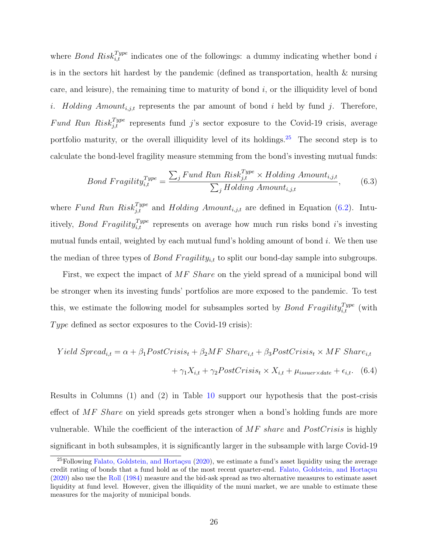where *Bond Risk*<sup>Type</sup> indicates one of the followings: a dummy indicating whether bond i is in the sectors hit hardest by the pandemic (defined as transportation, health & nursing care, and leisure), the remaining time to maturity of bond  $i$ , or the illiquidity level of bond i. Holding  $Amount_{i,j,t}$  represents the par amount of bond i held by fund j. Therefore, Fund Run Risk $I_{j,t}^{Type}$  represents fund j's sector exposure to the Covid-19 crisis, average portfolio maturity, or the overall illiquidity level of its holdings.<sup>[25](#page-26-0)</sup> The second step is to calculate the bond-level fragility measure stemming from the bond's investing mutual funds:

$$
Bond \; Fragility_{i,t}^{Type} = \frac{\sum_{j} Fund \; Run \; Risk_{j,t}^{Type} \times Holding \; Amount_{i,j,t}}{\sum_{j} Holding \; Amount_{i,j,t}}, \tag{6.3}
$$

where Fund Run Risk $j_{j,t}^{Type}$  and Holding Amount<sub>i,jt</sub> are defined in Equation [\(6.2\)](#page-25-0). Intuitively, *Bond Fragility*<sup>Type</sup> represents on average how much run risks bond *i*'s investing mutual funds entail, weighted by each mutual fund's holding amount of bond i. We then use the median of three types of *Bond Fragility<sub>i,t</sub>* to split our bond-day sample into subgroups.

First, we expect the impact of MF Share on the yield spread of a municipal bond will be stronger when its investing funds' portfolios are more exposed to the pandemic. To test this, we estimate the following model for subsamples sorted by *Bond Fragility*<sup>Type</sup> (with Type defined as sector exposures to the Covid-19 crisis):

<span id="page-26-1"></span>
$$
Yield\ Spread_{i,t} = \alpha + \beta_1 PostCrisis_t + \beta_2 MF\ Shar{e_{i,t}} + \beta_3 PostCrisis_t \times MF\ Shar{e_{i,t}} + \gamma_1 X_{i,t} + \gamma_2 PostCrisis_t \times X_{i,t} + \mu_{issuer \times date} + \epsilon_{i,t}.
$$
 (6.4)

Results in Columns (1) and (2) in Table [10](#page-49-0) support our hypothesis that the post-crisis effect of  $MF$  Share on yield spreads gets stronger when a bond's holding funds are more vulnerable. While the coefficient of the interaction of  $MF$  share and  $PostCrisis$  is highly significant in both subsamples, it is significantly larger in the subsample with large Covid-19

<span id="page-26-0"></span> $^{25}$ Following Falato, Goldstein, and Hortaçsu [\(2020\)](#page-32-1), we estimate a fund's asset liquidity using the average credit rating of bonds that a fund hold as of the most recent quarter-end. Falato, Goldstein, and Hortaçsu [\(2020\)](#page-32-1) also use the [Roll](#page-33-13) [\(1984\)](#page-33-13) measure and the bid-ask spread as two alternative measures to estimate asset liquidity at fund level. However, given the illiquidity of the muni market, we are unable to estimate these measures for the majority of municipal bonds.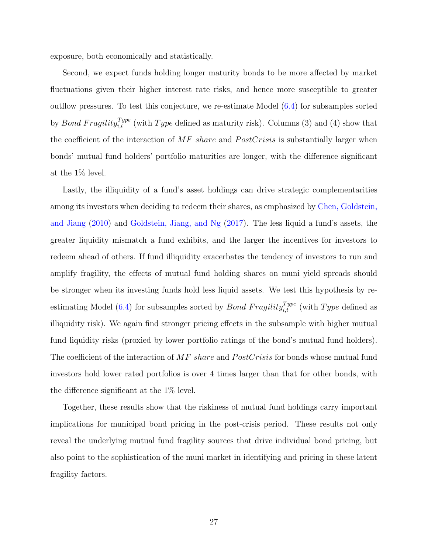exposure, both economically and statistically.

Second, we expect funds holding longer maturity bonds to be more affected by market fluctuations given their higher interest rate risks, and hence more susceptible to greater outflow pressures. To test this conjecture, we re-estimate Model [\(6.4\)](#page-26-1) for subsamples sorted by *Bond Fragility*<sup>Type</sup> (with Type defined as maturity risk). Columns (3) and (4) show that the coefficient of the interaction of  $MF$  share and  $PostCrisis$  is substantially larger when bonds' mutual fund holders' portfolio maturities are longer, with the difference significant at the 1% level.

Lastly, the illiquidity of a fund's asset holdings can drive strategic complementarities among its investors when deciding to redeem their shares, as emphasized by [Chen, Goldstein,](#page-31-1) [and Jiang](#page-31-1) [\(2010\)](#page-31-1) and [Goldstein, Jiang, and Ng](#page-32-0) [\(2017\)](#page-32-0). The less liquid a fund's assets, the greater liquidity mismatch a fund exhibits, and the larger the incentives for investors to redeem ahead of others. If fund illiquidity exacerbates the tendency of investors to run and amplify fragility, the effects of mutual fund holding shares on muni yield spreads should be stronger when its investing funds hold less liquid assets. We test this hypothesis by re-estimating Model [\(6.4\)](#page-26-1) for subsamples sorted by *Bond Fragility*<sup>Type</sup> (with Type defined as illiquidity risk). We again find stronger pricing effects in the subsample with higher mutual fund liquidity risks (proxied by lower portfolio ratings of the bond's mutual fund holders). The coefficient of the interaction of  $MF$  share and  $PostCrisis$  for bonds whose mutual fund investors hold lower rated portfolios is over 4 times larger than that for other bonds, with the difference significant at the 1% level.

Together, these results show that the riskiness of mutual fund holdings carry important implications for municipal bond pricing in the post-crisis period. These results not only reveal the underlying mutual fund fragility sources that drive individual bond pricing, but also point to the sophistication of the muni market in identifying and pricing in these latent fragility factors.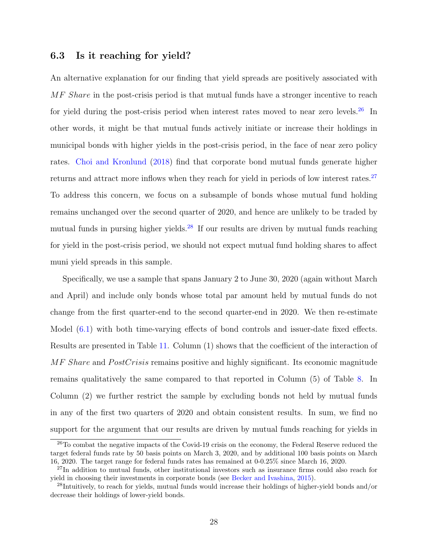#### 6.3 Is it reaching for yield?

An alternative explanation for our finding that yield spreads are positively associated with MF Share in the post-crisis period is that mutual funds have a stronger incentive to reach for yield during the post-crisis period when interest rates moved to near zero levels.<sup>[26](#page-28-0)</sup> In other words, it might be that mutual funds actively initiate or increase their holdings in municipal bonds with higher yields in the post-crisis period, in the face of near zero policy rates. [Choi and Kronlund](#page-31-12) [\(2018\)](#page-31-12) find that corporate bond mutual funds generate higher returns and attract more inflows when they reach for yield in periods of low interest rates.<sup>[27](#page-28-1)</sup> To address this concern, we focus on a subsample of bonds whose mutual fund holding remains unchanged over the second quarter of 2020, and hence are unlikely to be traded by mutual funds in pursing higher yields. $^{28}$  $^{28}$  $^{28}$  If our results are driven by mutual funds reaching for yield in the post-crisis period, we should not expect mutual fund holding shares to affect muni yield spreads in this sample.

Specifically, we use a sample that spans January 2 to June 30, 2020 (again without March and April) and include only bonds whose total par amount held by mutual funds do not change from the first quarter-end to the second quarter-end in 2020. We then re-estimate Model [\(6.1\)](#page-24-0) with both time-varying effects of bond controls and issuer-date fixed effects. Results are presented in Table [11.](#page-50-0) Column (1) shows that the coefficient of the interaction of  $MF$  Share and PostCrisis remains positive and highly significant. Its economic magnitude remains qualitatively the same compared to that reported in Column (5) of Table [8.](#page-47-0) In Column (2) we further restrict the sample by excluding bonds not held by mutual funds in any of the first two quarters of 2020 and obtain consistent results. In sum, we find no support for the argument that our results are driven by mutual funds reaching for yields in

<span id="page-28-0"></span><sup>26</sup>To combat the negative impacts of the Covid-19 crisis on the economy, the Federal Reserve reduced the target federal funds rate by 50 basis points on March 3, 2020, and by additional 100 basis points on March 16, 2020. The target range for federal funds rates has remained at 0-0.25% since March 16, 2020.

<span id="page-28-1"></span><sup>&</sup>lt;sup>27</sup>In addition to mutual funds, other institutional investors such as insurance firms could also reach for yield in choosing their investments in corporate bonds (see [Becker and Ivashina,](#page-31-13) [2015\)](#page-31-13).

<span id="page-28-2"></span><sup>28</sup>Intuitively, to reach for yields, mutual funds would increase their holdings of higher-yield bonds and/or decrease their holdings of lower-yield bonds.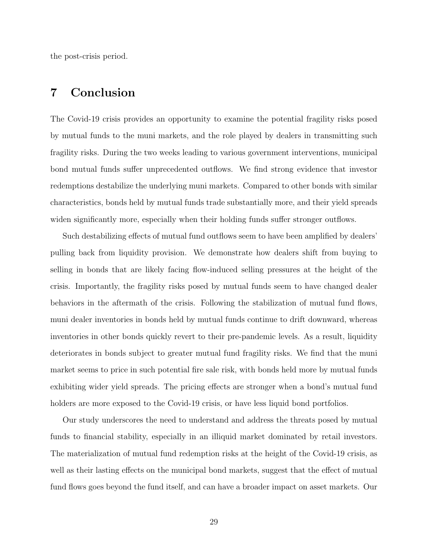the post-crisis period.

### <span id="page-29-0"></span>7 Conclusion

The Covid-19 crisis provides an opportunity to examine the potential fragility risks posed by mutual funds to the muni markets, and the role played by dealers in transmitting such fragility risks. During the two weeks leading to various government interventions, municipal bond mutual funds suffer unprecedented outflows. We find strong evidence that investor redemptions destabilize the underlying muni markets. Compared to other bonds with similar characteristics, bonds held by mutual funds trade substantially more, and their yield spreads widen significantly more, especially when their holding funds suffer stronger outflows.

Such destabilizing effects of mutual fund outflows seem to have been amplified by dealers' pulling back from liquidity provision. We demonstrate how dealers shift from buying to selling in bonds that are likely facing flow-induced selling pressures at the height of the crisis. Importantly, the fragility risks posed by mutual funds seem to have changed dealer behaviors in the aftermath of the crisis. Following the stabilization of mutual fund flows, muni dealer inventories in bonds held by mutual funds continue to drift downward, whereas inventories in other bonds quickly revert to their pre-pandemic levels. As a result, liquidity deteriorates in bonds subject to greater mutual fund fragility risks. We find that the muni market seems to price in such potential fire sale risk, with bonds held more by mutual funds exhibiting wider yield spreads. The pricing effects are stronger when a bond's mutual fund holders are more exposed to the Covid-19 crisis, or have less liquid bond portfolios.

Our study underscores the need to understand and address the threats posed by mutual funds to financial stability, especially in an illiquid market dominated by retail investors. The materialization of mutual fund redemption risks at the height of the Covid-19 crisis, as well as their lasting effects on the municipal bond markets, suggest that the effect of mutual fund flows goes beyond the fund itself, and can have a broader impact on asset markets. Our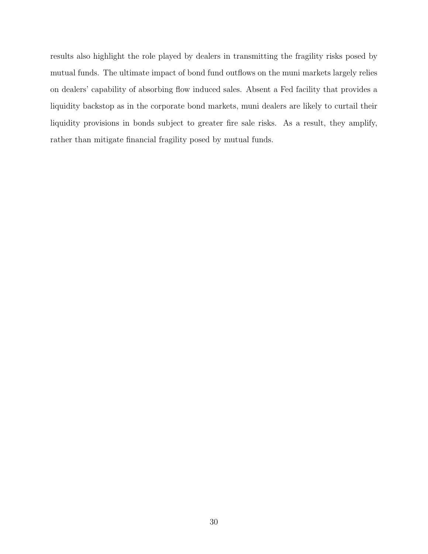results also highlight the role played by dealers in transmitting the fragility risks posed by mutual funds. The ultimate impact of bond fund outflows on the muni markets largely relies on dealers' capability of absorbing flow induced sales. Absent a Fed facility that provides a liquidity backstop as in the corporate bond markets, muni dealers are likely to curtail their liquidity provisions in bonds subject to greater fire sale risks. As a result, they amplify, rather than mitigate financial fragility posed by mutual funds.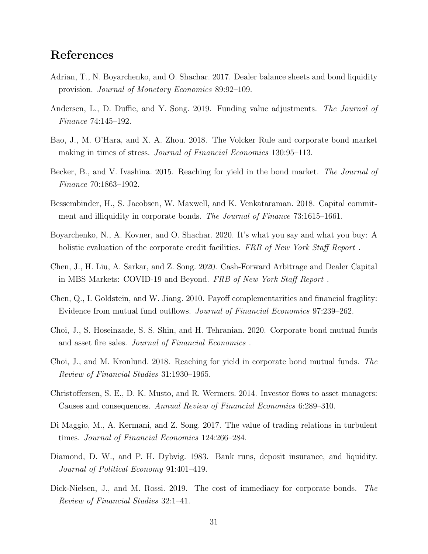## References

- <span id="page-31-4"></span>Adrian, T., N. Boyarchenko, and O. Shachar. 2017. Dealer balance sheets and bond liquidity provision. Journal of Monetary Economics 89:92–109.
- <span id="page-31-3"></span>Andersen, L., D. Duffie, and Y. Song. 2019. Funding value adjustments. The Journal of Finance 74:145–192.
- <span id="page-31-6"></span>Bao, J., M. O'Hara, and X. A. Zhou. 2018. The Volcker Rule and corporate bond market making in times of stress. *Journal of Financial Economics* 130:95–113.
- <span id="page-31-13"></span>Becker, B., and V. Ivashina. 2015. Reaching for yield in the bond market. The Journal of Finance 70:1863–1902.
- <span id="page-31-5"></span>Bessembinder, H., S. Jacobsen, W. Maxwell, and K. Venkataraman. 2018. Capital commitment and illiquidity in corporate bonds. The Journal of Finance 73:1615–1661.
- <span id="page-31-11"></span>Boyarchenko, N., A. Kovner, and O. Shachar. 2020. It's what you say and what you buy: A holistic evaluation of the corporate credit facilities. FRB of New York Staff Report.
- <span id="page-31-7"></span>Chen, J., H. Liu, A. Sarkar, and Z. Song. 2020. Cash-Forward Arbitrage and Dealer Capital in MBS Markets: COVID-19 and Beyond. FRB of New York Staff Report .
- <span id="page-31-1"></span>Chen, Q., I. Goldstein, and W. Jiang. 2010. Payoff complementarities and financial fragility: Evidence from mutual fund outflows. Journal of Financial Economics 97:239–262.
- <span id="page-31-2"></span>Choi, J., S. Hoseinzade, S. S. Shin, and H. Tehranian. 2020. Corporate bond mutual funds and asset fire sales. Journal of Financial Economics .
- <span id="page-31-12"></span>Choi, J., and M. Kronlund. 2018. Reaching for yield in corporate bond mutual funds. The Review of Financial Studies 31:1930–1965.
- <span id="page-31-10"></span>Christoffersen, S. E., D. K. Musto, and R. Wermers. 2014. Investor flows to asset managers: Causes and consequences. Annual Review of Financial Economics 6:289–310.
- <span id="page-31-8"></span>Di Maggio, M., A. Kermani, and Z. Song. 2017. The value of trading relations in turbulent times. Journal of Financial Economics 124:266–284.
- <span id="page-31-0"></span>Diamond, D. W., and P. H. Dybvig. 1983. Bank runs, deposit insurance, and liquidity. Journal of Political Economy 91:401–419.
- <span id="page-31-9"></span>Dick-Nielsen, J., and M. Rossi. 2019. The cost of immediacy for corporate bonds. The Review of Financial Studies 32:1–41.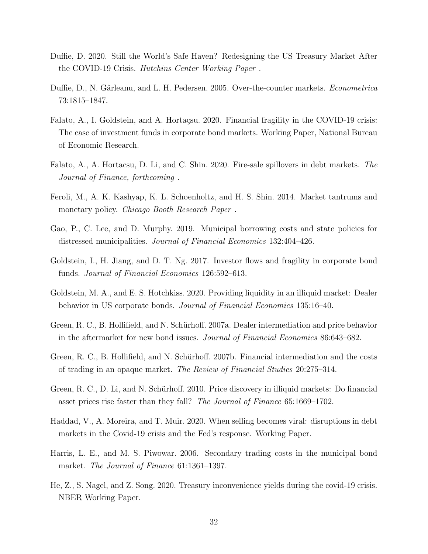- <span id="page-32-12"></span>Duffie, D. 2020. Still the World's Safe Haven? Redesigning the US Treasury Market After the COVID-19 Crisis. Hutchins Center Working Paper .
- <span id="page-32-6"></span>Duffie, D., N. Gârleanu, and L. H. Pedersen. 2005. Over-the-counter markets. *Econometrica* 73:1815–1847.
- <span id="page-32-1"></span>Falato, A., I. Goldstein, and A. Hortaçsu. 2020. Financial fragility in the COVID-19 crisis: The case of investment funds in corporate bond markets. Working Paper, National Bureau of Economic Research.
- <span id="page-32-10"></span>Falato, A., A. Hortacsu, D. Li, and C. Shin. 2020. Fire-sale spillovers in debt markets. The Journal of Finance, forthcoming .
- <span id="page-32-9"></span>Feroli, M., A. K. Kashyap, K. L. Schoenholtz, and H. S. Shin. 2014. Market tantrums and monetary policy. *Chicago Booth Research Paper*.
- <span id="page-32-13"></span>Gao, P., C. Lee, and D. Murphy. 2019. Municipal borrowing costs and state policies for distressed municipalities. Journal of Financial Economics 132:404–426.
- <span id="page-32-0"></span>Goldstein, I., H. Jiang, and D. T. Ng. 2017. Investor flows and fragility in corporate bond funds. Journal of Financial Economics 126:592–613.
- <span id="page-32-7"></span>Goldstein, M. A., and E. S. Hotchkiss. 2020. Providing liquidity in an illiquid market: Dealer behavior in US corporate bonds. Journal of Financial Economics 135:16–40.
- <span id="page-32-3"></span>Green, R. C., B. Hollifield, and N. Schürhoff. 2007a. Dealer intermediation and price behavior in the aftermarket for new bond issues. Journal of Financial Economics 86:643–682.
- <span id="page-32-4"></span>Green, R. C., B. Hollifield, and N. Schürhoff. 2007b. Financial intermediation and the costs of trading in an opaque market. The Review of Financial Studies 20:275–314.
- <span id="page-32-5"></span>Green, R. C., D. Li, and N. Schürhoff. 2010. Price discovery in illiquid markets: Do financial asset prices rise faster than they fall? The Journal of Finance 65:1669–1702.
- <span id="page-32-11"></span>Haddad, V., A. Moreira, and T. Muir. 2020. When selling becomes viral: disruptions in debt markets in the Covid-19 crisis and the Fed's response. Working Paper.
- <span id="page-32-2"></span>Harris, L. E., and M. S. Piwowar. 2006. Secondary trading costs in the municipal bond market. The Journal of Finance 61:1361–1397.
- <span id="page-32-8"></span>He, Z., S. Nagel, and Z. Song. 2020. Treasury inconvenience yields during the covid-19 crisis. NBER Working Paper.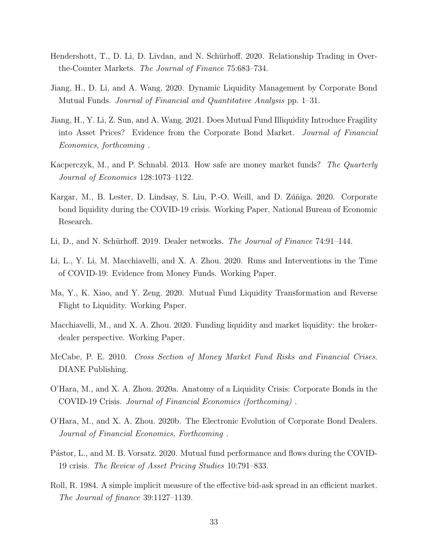- <span id="page-33-1"></span>Hendershott, T., D. Li, D. Livdan, and N. Schürhoff. 2020. Relationship Trading in Overthe-Counter Markets. The Journal of Finance 75:683–734.
- <span id="page-33-4"></span>Jiang, H., D. Li, and A. Wang. 2020. Dynamic Liquidity Management by Corporate Bond Mutual Funds. Journal of Financial and Quantitative Analysis pp. 1–31.
- <span id="page-33-6"></span>Jiang, H., Y. Li, Z. Sun, and A. Wang. 2021. Does Mutual Fund Illiquidity Introduce Fragility into Asset Prices? Evidence from the Corporate Bond Market. Journal of Financial Economics, forthcoming .
- <span id="page-33-9"></span>Kacperczyk, M., and P. Schnabl. 2013. How safe are money market funds? The Quarterly Journal of Economics 128:1073–1122.
- <span id="page-33-11"></span>Kargar, M., B. Lester, D. Lindsay, S. Liu, P.-O. Weill, and D. Zuniga. 2020. Corporate bond liquidity during the COVID-19 crisis. Working Paper, National Bureau of Economic Research.
- <span id="page-33-0"></span>Li, D., and N. Schürhoff. 2019. Dealer networks. The Journal of Finance 74:91–144.
- <span id="page-33-10"></span>Li, L., Y. Li, M. Macchiavelli, and X. A. Zhou. 2020. Runs and Interventions in the Time of COVID-19: Evidence from Money Funds. Working Paper.
- <span id="page-33-5"></span>Ma, Y., K. Xiao, and Y. Zeng. 2020. Mutual Fund Liquidity Transformation and Reverse Flight to Liquidity. Working Paper.
- <span id="page-33-2"></span>Macchiavelli, M., and X. A. Zhou. 2020. Funding liquidity and market liquidity: the brokerdealer perspective. Working Paper.
- <span id="page-33-8"></span>McCabe, P. E. 2010. Cross Section of Money Market Fund Risks and Financial Crises. DIANE Publishing.
- <span id="page-33-12"></span>O'Hara, M., and X. A. Zhou. 2020a. Anatomy of a Liquidity Crisis: Corporate Bonds in the COVID-19 Crisis. Journal of Financial Economics (forthcoming) .
- <span id="page-33-3"></span>O'Hara, M., and X. A. Zhou. 2020b. The Electronic Evolution of Corporate Bond Dealers. Journal of Financial Economics, Forthcoming .
- <span id="page-33-7"></span>Pástor, L., and M. B. Vorsatz. 2020. Mutual fund performance and flows during the COVID-19 crisis. The Review of Asset Pricing Studies 10:791–833.
- <span id="page-33-13"></span>Roll, R. 1984. A simple implicit measure of the effective bid-ask spread in an efficient market. The Journal of finance 39:1127–1139.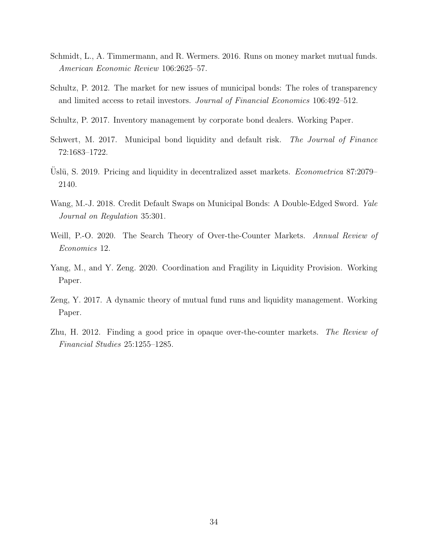- <span id="page-34-8"></span>Schmidt, L., A. Timmermann, and R. Wermers. 2016. Runs on money market mutual funds. American Economic Review 106:2625–57.
- <span id="page-34-1"></span>Schultz, P. 2012. The market for new issues of municipal bonds: The roles of transparency and limited access to retail investors. Journal of Financial Economics 106:492–512.
- <span id="page-34-7"></span>Schultz, P. 2017. Inventory management by corporate bond dealers. Working Paper.
- <span id="page-34-2"></span>Schwert, M. 2017. Municipal bond liquidity and default risk. The Journal of Finance 72:1683–1722.
- <span id="page-34-3"></span>Uslü, S. 2019. Pricing and liquidity in decentralized asset markets. *Econometrica* 87:2079– 2140.
- <span id="page-34-9"></span>Wang, M.-J. 2018. Credit Default Swaps on Municipal Bonds: A Double-Edged Sword. Yale Journal on Regulation 35:301.
- <span id="page-34-6"></span>Weill, P.-O. 2020. The Search Theory of Over-the-Counter Markets. Annual Review of Economics 12.
- <span id="page-34-4"></span>Yang, M., and Y. Zeng. 2020. Coordination and Fragility in Liquidity Provision. Working Paper.
- <span id="page-34-0"></span>Zeng, Y. 2017. A dynamic theory of mutual fund runs and liquidity management. Working Paper.
- <span id="page-34-5"></span>Zhu, H. 2012. Finding a good price in opaque over-the-counter markets. The Review of Financial Studies 25:1255–1285.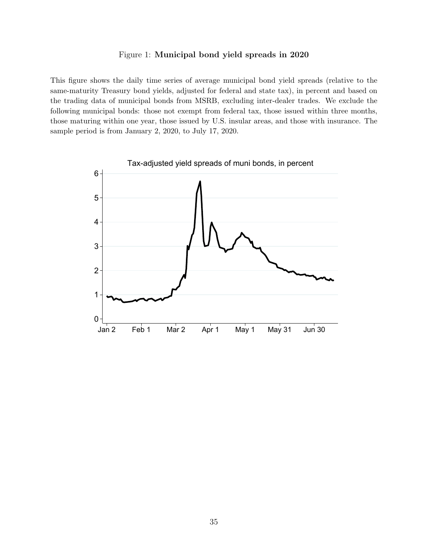#### Figure 1: Municipal bond yield spreads in 2020

<span id="page-35-0"></span>This figure shows the daily time series of average municipal bond yield spreads (relative to the same-maturity Treasury bond yields, adjusted for federal and state tax), in percent and based on the trading data of municipal bonds from MSRB, excluding inter-dealer trades. We exclude the following municipal bonds: those not exempt from federal tax, those issued within three months, those maturing within one year, those issued by U.S. insular areas, and those with insurance. The sample period is from January 2, 2020, to July 17, 2020.

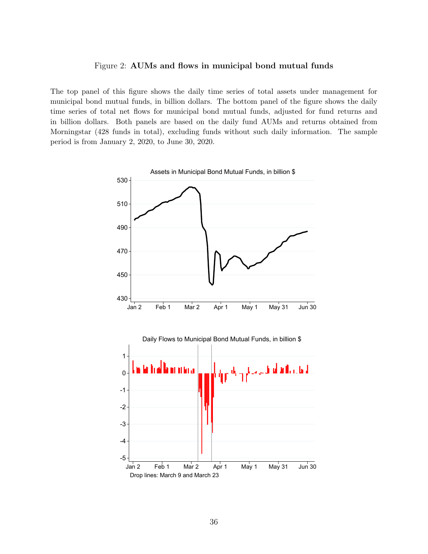#### Figure 2: AUMs and flows in municipal bond mutual funds

<span id="page-36-0"></span>The top panel of this figure shows the daily time series of total assets under management for municipal bond mutual funds, in billion dollars. The bottom panel of the figure shows the daily time series of total net flows for municipal bond mutual funds, adjusted for fund returns and in billion dollars. Both panels are based on the daily fund AUMs and returns obtained from Morningstar (428 funds in total), excluding funds without such daily information. The sample period is from January 2, 2020, to June 30, 2020.

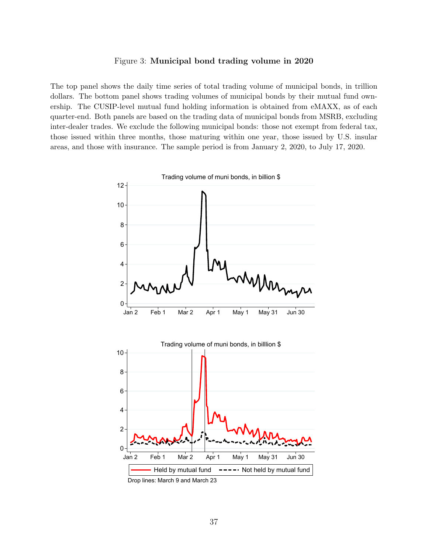#### Figure 3: Municipal bond trading volume in 2020

<span id="page-37-0"></span>The top panel shows the daily time series of total trading volume of municipal bonds, in trillion dollars. The bottom panel shows trading volumes of municipal bonds by their mutual fund ownership. The CUSIP-level mutual fund holding information is obtained from eMAXX, as of each quarter-end. Both panels are based on the trading data of municipal bonds from MSRB, excluding inter-dealer trades. We exclude the following municipal bonds: those not exempt from federal tax, those issued within three months, those maturing within one year, those issued by U.S. insular areas, and those with insurance. The sample period is from January 2, 2020, to July 17, 2020.



Drop lines: March 9 and March 23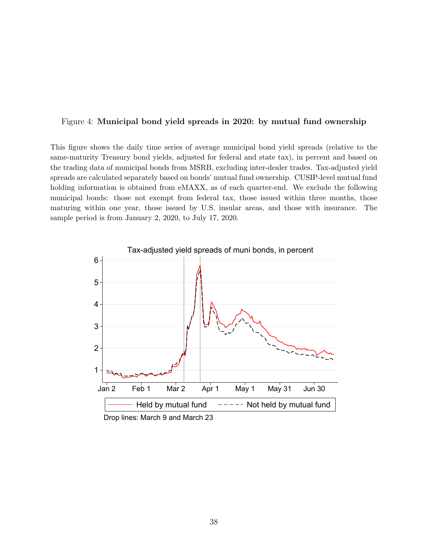#### <span id="page-38-0"></span>Figure 4: Municipal bond yield spreads in 2020: by mutual fund ownership

This figure shows the daily time series of average municipal bond yield spreads (relative to the same-maturity Treasury bond yields, adjusted for federal and state tax), in percent and based on the trading data of municipal bonds from MSRB, excluding inter-dealer trades. Tax-adjusted yield spreads are calculated separately based on bonds' mutual fund ownership. CUSIP-level mutual fund holding information is obtained from eMAXX, as of each quarter-end. We exclude the following municipal bonds: those not exempt from federal tax, those issued within three months, those maturing within one year, those issued by U.S. insular areas, and those with insurance. The sample period is from January 2, 2020, to July 17, 2020.

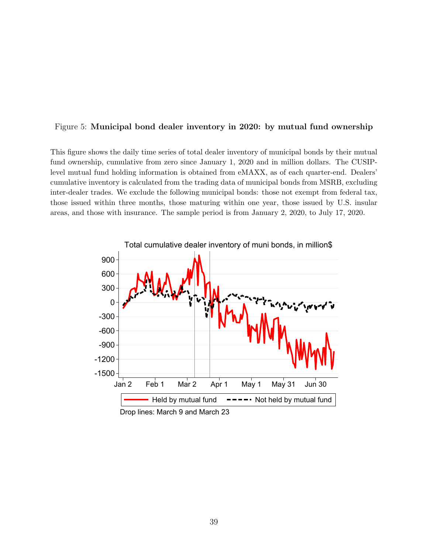#### <span id="page-39-0"></span>Figure 5: Municipal bond dealer inventory in 2020: by mutual fund ownership

This figure shows the daily time series of total dealer inventory of municipal bonds by their mutual fund ownership, cumulative from zero since January 1, 2020 and in million dollars. The CUSIPlevel mutual fund holding information is obtained from eMAXX, as of each quarter-end. Dealers' cumulative inventory is calculated from the trading data of municipal bonds from MSRB, excluding inter-dealer trades. We exclude the following municipal bonds: those not exempt from federal tax, those issued within three months, those maturing within one year, those issued by U.S. insular areas, and those with insurance. The sample period is from January 2, 2020, to July 17, 2020.

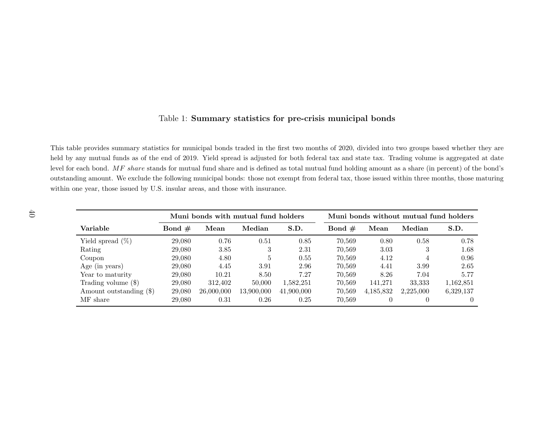#### <span id="page-40-0"></span>Table 1: Summary statistics for pre-crisis municipal bonds

This table provides summary statistics for municipal bonds traded in the first two months of 2020, divided into two groups based whether they are held by any mutual funds as of the end of 2019. Yield spread is adjusted for both federal tax and state tax. Trading volume is aggregated at datelevel for each bond.  $MF share$  stands for mutual fund share and is defined as total mutual fund holding amount as a share (in percent) of the bond's outstanding amount. We exclude the following municipal bonds: those not exempt from federal tax, those issued within three months, those maturingwithin one year, those issued by U.S. insular areas, and those with insurance.

|                         | Muni bonds with mutual fund holders |            |            |            |          |           | Muni bonds without mutual fund holders |           |
|-------------------------|-------------------------------------|------------|------------|------------|----------|-----------|----------------------------------------|-----------|
| Variable                | Bond $#$                            | Mean       | Median     | S.D.       | Bond $#$ | Mean      | Median                                 | S.D.      |
| Yield spread $(\%)$     | 29,080                              | 0.76       | 0.51       | 0.85       | 70.569   | 0.80      | 0.58                                   | 0.78      |
| Rating                  | 29,080                              | 3.85       | 3          | 2.31       | 70.569   | 3.03      | 3                                      | 1.68      |
| Coupon                  | 29,080                              | 4.80       | 5          | 0.55       | 70.569   | 4.12      | 4                                      | 0.96      |
| Age (in years)          | 29,080                              | 4.45       | 3.91       | 2.96       | 70.569   | 4.41      | 3.99                                   | 2.65      |
| Year to maturity        | 29,080                              | 10.21      | 8.50       | 7.27       | 70.569   | 8.26      | 7.04                                   | 5.77      |
| Trading volume $(\$)$   | 29,080                              | 312,402    | 50,000     | 1,582,251  | 70.569   | 141,271   | 33,333                                 | 1,162,851 |
| Amount outstanding (\$) | 29,080                              | 26,000,000 | 13,900,000 | 41,900,000 | 70.569   | 4,185,832 | 2,225,000                              | 6,329,137 |
| MF share                | 29,080                              | 0.31       | 0.26       | 0.25       | 70.569   |           |                                        |           |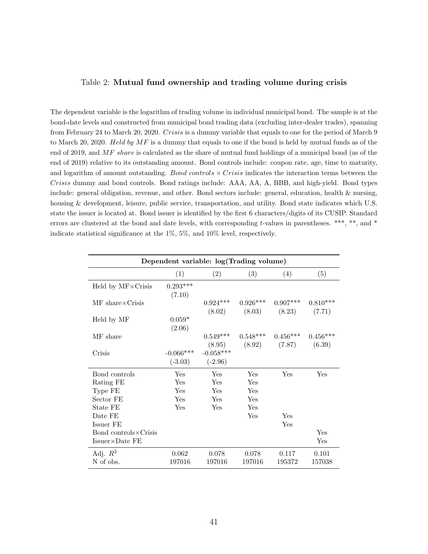#### <span id="page-41-0"></span>Table 2: Mutual fund ownership and trading volume during crisis

The dependent variable is the logarithm of trading volume in individual municipal bond. The sample is at the bond-date levels and constructed from municipal bond trading data (excluding inter-dealer trades), spanning from February 24 to March 20, 2020. Crisis is a dummy variable that equals to one for the period of March 9 to March 20, 2020. Held by  $MF$  is a dummy that equals to one if the bond is held by mutual funds as of the end of 2019, and MF share is calculated as the share of mutual fund holdings of a municipal bond (as of the end of 2019) relative to its outstanding amount. Bond controls include: coupon rate, age, time to maturity, and logarithm of amount outstanding. Bond controls  $\times$  Crisis indicates the interaction terms between the Crisis dummy and bond controls. Bond ratings include: AAA, AA, A, BBB, and high-yield. Bond types include: general obligation, revenue, and other. Bond sectors include: general, education, health & nursing, housing & development, leisure, public service, transportation, and utility. Bond state indicates which U.S. state the issuer is located at. Bond issuer is identified by the first 6 characters/digits of its CUSIP. Standard errors are clustered at the bond and date levels, with corresponding t-values in parentheses. \*\*\*, \*\*, and \* indicate statistical significance at the 1%, 5%, and 10% level, respectively.

| Dependent variable: log(Trading volume)  |             |             |            |            |            |  |
|------------------------------------------|-------------|-------------|------------|------------|------------|--|
|                                          | (1)         | (2)         | (3)        | (4)        | (5)        |  |
| Held by $MF \times$ Crisis               | $0.293***$  |             |            |            |            |  |
|                                          | (7.10)      |             |            |            |            |  |
| $\text{MF}$ share $\times \text{Crisis}$ |             | $0.924***$  | $0.926***$ | $0.907***$ | $0.810***$ |  |
|                                          |             | (8.02)      | (8.03)     | (8.23)     | (7.71)     |  |
| Held by MF                               | $0.059*$    |             |            |            |            |  |
| MF share                                 | (2.06)      | $0.549***$  | $0.548***$ | $0.456***$ | $0.456***$ |  |
|                                          |             | (8.95)      | (8.92)     | (7.87)     | (6.39)     |  |
| Crisis                                   | $-0.066***$ | $-0.058***$ |            |            |            |  |
|                                          | $(-3.03)$   | $(-2.96)$   |            |            |            |  |
| Bond controls                            | Yes         | Yes         | Yes        | Yes        | Yes        |  |
| Rating FE                                | Yes         | Yes         | Yes        |            |            |  |
| Type FE                                  | Yes         | Yes         | Yes        |            |            |  |
| Sector FE                                | Yes         | Yes         | Yes        |            |            |  |
| State FE                                 | Yes         | Yes         | Yes        |            |            |  |
| Date FE                                  |             |             | Yes        | Yes        |            |  |
| Issuer FE                                |             |             |            | Yes        |            |  |
| Bond controls $\times$ Crisis            |             |             |            |            | Yes        |  |
| $Issuer \times Date FE$                  |             |             |            |            | Yes        |  |
| Adj. $R^2$                               | 0.062       | 0.078       | 0.078      | 0.117      | 0.101      |  |
| N of obs.                                | 197016      | 197016      | 197016     | 195372     | 157038     |  |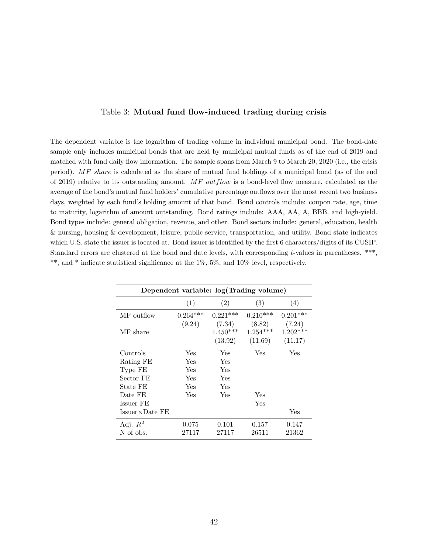#### Table 3: Mutual fund flow-induced trading during crisis

<span id="page-42-0"></span>The dependent variable is the logarithm of trading volume in individual municipal bond. The bond-date sample only includes municipal bonds that are held by municipal mutual funds as of the end of 2019 and matched with fund daily flow information. The sample spans from March 9 to March 20, 2020 (i.e., the crisis period). MF share is calculated as the share of mutual fund holdings of a municipal bond (as of the end of 2019) relative to its outstanding amount. MF outflow is a bond-level flow measure, calculated as the average of the bond's mutual fund holders' cumulative percentage outflows over the most recent two business days, weighted by each fund's holding amount of that bond. Bond controls include: coupon rate, age, time to maturity, logarithm of amount outstanding. Bond ratings include: AAA, AA, A, BBB, and high-yield. Bond types include: general obligation, revenue, and other. Bond sectors include: general, education, health & nursing, housing & development, leisure, public service, transportation, and utility. Bond state indicates which U.S. state the issuer is located at. Bond issuer is identified by the first 6 characters/digits of its CUSIP. Standard errors are clustered at the bond and date levels, with corresponding t-values in parentheses. \*\*\*, \*\*, and \* indicate statistical significance at the 1%, 5%, and 10% level, respectively.

| Dependent variable: log(Trading volume) |            |                                 |                                 |                                 |  |  |  |
|-----------------------------------------|------------|---------------------------------|---------------------------------|---------------------------------|--|--|--|
|                                         | (1)        | (2)                             | (3)                             | (4)                             |  |  |  |
| MF outflow                              | $0.264***$ | $0.221***$                      | $0.210***$                      | $0.201***$                      |  |  |  |
| MF share                                | (9.24)     | (7.34)<br>$1.450***$<br>(13.92) | (8.82)<br>$1.254***$<br>(11.69) | (7.24)<br>$1.202***$<br>(11.17) |  |  |  |
| Controls                                | Yes        | Yes                             | Yes                             | Yes                             |  |  |  |
| Rating FE                               | Yes        | Yes                             |                                 |                                 |  |  |  |
| Type FE                                 | Yes        | Yes                             |                                 |                                 |  |  |  |
| Sector FE                               | Yes        | Yes                             |                                 |                                 |  |  |  |
| State FE                                | Yes        | Yes                             |                                 |                                 |  |  |  |
| Date FE                                 | Yes        | Yes                             | Yes                             |                                 |  |  |  |
| Issuer FE                               |            |                                 | Yes                             |                                 |  |  |  |
| $Issuer \times Date FE$                 |            |                                 |                                 | Yes                             |  |  |  |
| Adj. $R^2$                              | 0.075      | 0.101                           | 0.157                           | 0.147                           |  |  |  |
| N of obs.                               | 27117      | 27117                           | 26511                           | 21362                           |  |  |  |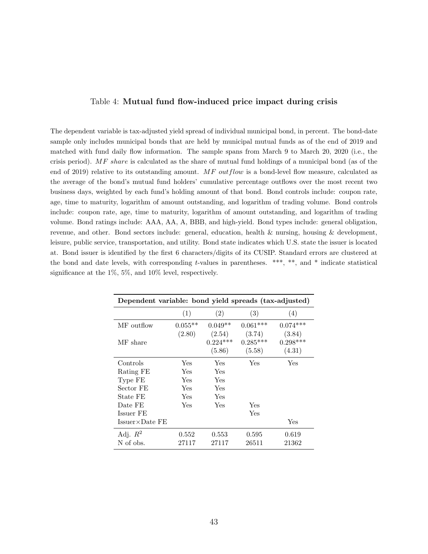#### Table 4: Mutual fund flow-induced price impact during crisis

<span id="page-43-0"></span>The dependent variable is tax-adjusted yield spread of individual municipal bond, in percent. The bond-date sample only includes municipal bonds that are held by municipal mutual funds as of the end of 2019 and matched with fund daily flow information. The sample spans from March 9 to March 20, 2020 (i.e., the crisis period). MF share is calculated as the share of mutual fund holdings of a municipal bond (as of the end of 2019) relative to its outstanding amount.  $MF\ outflow$  is a bond-level flow measure, calculated as the average of the bond's mutual fund holders' cumulative percentage outflows over the most recent two business days, weighted by each fund's holding amount of that bond. Bond controls include: coupon rate, age, time to maturity, logarithm of amount outstanding, and logarithm of trading volume. Bond controls include: coupon rate, age, time to maturity, logarithm of amount outstanding, and logarithm of trading volume. Bond ratings include: AAA, AA, A, BBB, and high-yield. Bond types include: general obligation, revenue, and other. Bond sectors include: general, education, health & nursing, housing & development, leisure, public service, transportation, and utility. Bond state indicates which U.S. state the issuer is located at. Bond issuer is identified by the first 6 characters/digits of its CUSIP. Standard errors are clustered at the bond and date levels, with corresponding t-values in parentheses. \*\*\*, \*\*, and \* indicate statistical significance at the 1%, 5%, and 10% level, respectively.

| Dependent variable: bond yield spreads (tax-adjusted) |           |                                |                                |                                |  |  |
|-------------------------------------------------------|-----------|--------------------------------|--------------------------------|--------------------------------|--|--|
|                                                       | (1)       | (2)                            | (3)                            | (4)                            |  |  |
| MF outflow                                            | $0.055**$ | $0.049**$                      | $0.061***$                     | $0.074***$                     |  |  |
| MF share                                              | (2.80)    | (2.54)<br>$0.224***$<br>(5.86) | (3.74)<br>$0.285***$<br>(5.58) | (3.84)<br>$0.298***$<br>(4.31) |  |  |
| Controls                                              | Yes       | Yes                            | Yes                            | Yes                            |  |  |
| Rating FE                                             | Yes       | Yes                            |                                |                                |  |  |
| Type FE                                               | Yes       | Yes                            |                                |                                |  |  |
| Sector FE                                             | Yes       | Yes                            |                                |                                |  |  |
| State FE                                              | Yes       | Yes                            |                                |                                |  |  |
| Date FE                                               | Yes       | Yes                            | Yes                            |                                |  |  |
| Issuer FE                                             |           |                                | Yes                            |                                |  |  |
| $Issuer \times Date FE$                               |           |                                |                                | Yes                            |  |  |
| Adj. $R^2$                                            | 0.552     | 0.553                          | 0.595                          | 0.619                          |  |  |
| N of obs.                                             | 27117     | 27117                          | 26511                          | 21362                          |  |  |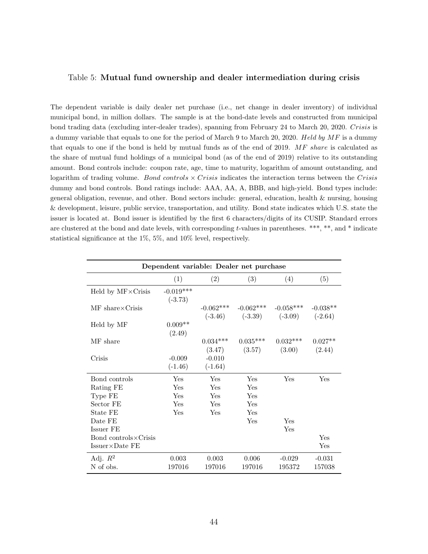#### <span id="page-44-0"></span>Table 5: Mutual fund ownership and dealer intermediation during crisis

The dependent variable is daily dealer net purchase (i.e., net change in dealer inventory) of individual municipal bond, in million dollars. The sample is at the bond-date levels and constructed from municipal bond trading data (excluding inter-dealer trades), spanning from February 24 to March 20, 2020. Crisis is a dummy variable that equals to one for the period of March 9 to March 20, 2020. Held by  $MF$  is a dummy that equals to one if the bond is held by mutual funds as of the end of 2019. MF share is calculated as the share of mutual fund holdings of a municipal bond (as of the end of 2019) relative to its outstanding amount. Bond controls include: coupon rate, age, time to maturity, logarithm of amount outstanding, and logarithm of trading volume. Bond controls  $\times$  Crisis indicates the interaction terms between the Crisis dummy and bond controls. Bond ratings include: AAA, AA, A, BBB, and high-yield. Bond types include: general obligation, revenue, and other. Bond sectors include: general, education, health & nursing, housing & development, leisure, public service, transportation, and utility. Bond state indicates which U.S. state the issuer is located at. Bond issuer is identified by the first 6 characters/digits of its CUSIP. Standard errors are clustered at the bond and date levels, with corresponding t-values in parentheses. \*\*\*, \*\*, and \* indicate statistical significance at the 1%, 5%, and 10% level, respectively.

| Dependent variable: Dealer net purchase         |                          |                       |                                              |                      |                         |  |
|-------------------------------------------------|--------------------------|-----------------------|----------------------------------------------|----------------------|-------------------------|--|
|                                                 | (1)                      | (2)                   | (3)                                          | (4)                  | (5)                     |  |
| Held by $MF \times Crisis$                      | $-0.019***$<br>$(-3.73)$ |                       |                                              |                      |                         |  |
| $MF \; share \times Crisis$                     |                          | $-0.062***$           | $-0.062***$<br>$(-3.46)$ $(-3.39)$ $(-3.09)$ | $-0.058***$          | $-0.038**$<br>$(-2.64)$ |  |
| Held by MF                                      | $0.009**$<br>(2.49)      |                       |                                              |                      |                         |  |
| MF share                                        |                          | $0.034***$<br>(3.47)  | $0.035***$<br>(3.57)                         | $0.032***$<br>(3.00) | $0.027**$<br>(2.44)     |  |
| Crisis                                          | $-0.009$<br>$(-1.46)$    | $-0.010$<br>$(-1.64)$ |                                              |                      |                         |  |
| Bond controls                                   | Yes                      | Yes                   | Yes                                          | Yes                  | Yes                     |  |
| Rating FE                                       | Yes                      | Yes                   | Yes                                          |                      |                         |  |
| Type FE                                         | Yes                      | Yes                   | Yes                                          |                      |                         |  |
| Sector FE                                       | Yes                      | Yes                   | Yes                                          |                      |                         |  |
| State FE                                        | Yes                      | Yes                   | Yes                                          |                      |                         |  |
| Date FE                                         |                          |                       | Yes                                          | Yes                  |                         |  |
| Issuer FE                                       |                          |                       |                                              | Yes                  |                         |  |
| Bond controls×Crisis<br>$Issuer \times Date FE$ |                          |                       |                                              |                      | Yes<br>Yes              |  |
| Adj. $R^2$<br>N of obs.                         | 0.003<br>197016          | 0.003<br>197016       | 0.006<br>197016                              | $-0.029$<br>195372   | $-0.031$<br>157038      |  |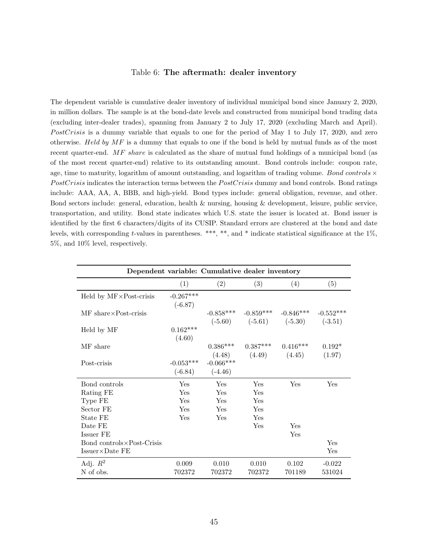#### Table 6: The aftermath: dealer inventory

<span id="page-45-0"></span>The dependent variable is cumulative dealer inventory of individual municipal bond since January 2, 2020, in million dollars. The sample is at the bond-date levels and constructed from municipal bond trading data (excluding inter-dealer trades), spanning from January 2 to July 17, 2020 (excluding March and April). PostCrisis is a dummy variable that equals to one for the period of May 1 to July 17, 2020, and zero otherwise. Held by  $MF$  is a dummy that equals to one if the bond is held by mutual funds as of the most recent quarter-end. MF share is calculated as the share of mutual fund holdings of a municipal bond (as of the most recent quarter-end) relative to its outstanding amount. Bond controls include: coupon rate, age, time to maturity, logarithm of amount outstanding, and logarithm of trading volume. Bond controls  $\times$ PostCrisis indicates the interaction terms between the PostCrisis dummy and bond controls. Bond ratings include: AAA, AA, A, BBB, and high-yield. Bond types include: general obligation, revenue, and other. Bond sectors include: general, education, health  $\&$  nursing, housing  $\&$  development, leisure, public service, transportation, and utility. Bond state indicates which U.S. state the issuer is located at. Bond issuer is identified by the first 6 characters/digits of its CUSIP. Standard errors are clustered at the bond and date levels, with corresponding t-values in parentheses. \*\*\*, \*\*, and \* indicate statistical significance at the 1%, 5%, and 10% level, respectively.

| Dependent variable: Cumulative dealer inventory |                          |                          |                                          |                                         |                    |  |
|-------------------------------------------------|--------------------------|--------------------------|------------------------------------------|-----------------------------------------|--------------------|--|
|                                                 | (1)                      | (2)                      | (3)                                      | (4)                                     | (5)                |  |
| Held by $MF \times Post-crisis$                 | $-0.267***$<br>$(-6.87)$ |                          |                                          |                                         |                    |  |
| MF share×Post-crisis                            |                          |                          | $-0.858***$ $-0.859***$                  | $-0.846***$                             | $-0.552***$        |  |
| Held by MF                                      | $0.162***$<br>(4.60)     |                          |                                          | $(-5.60)$ $(-5.61)$ $(-5.30)$ $(-3.51)$ |                    |  |
| MF share                                        |                          | $0.386***$               | $0.387***$<br>$(4.48)$ $(4.49)$ $(4.45)$ | $0.416***$                              | $0.192*$<br>(1.97) |  |
| Post-crisis                                     | $-0.053***$<br>$(-6.84)$ | $-0.066***$<br>$(-4.46)$ |                                          |                                         |                    |  |
| Bond controls                                   | Yes                      | Yes                      | Yes                                      | Yes                                     | Yes                |  |
| Rating FE                                       | Yes                      | Yes                      | Yes                                      |                                         |                    |  |
| Type FE                                         | Yes                      | Yes                      | Yes                                      |                                         |                    |  |
| Sector FE                                       | Yes                      | Yes                      | Yes                                      |                                         |                    |  |
| State FE                                        | Yes                      | Yes                      | Yes                                      |                                         |                    |  |
| Date FE                                         |                          |                          | Yes                                      | Yes                                     |                    |  |
| Issuer FE                                       |                          |                          |                                          | Yes                                     |                    |  |
| Bond controls × Post-Crisis                     |                          |                          |                                          |                                         | Yes                |  |
| $Issuer \times Date FE$                         |                          |                          |                                          |                                         | Yes                |  |
| Adj. $R^2$                                      | 0.009                    | 0.010                    | 0.010                                    | 0.102                                   | $-0.022$           |  |
| N of obs.                                       | 702372                   | 702372                   | 702372                                   | 701189                                  | 531024             |  |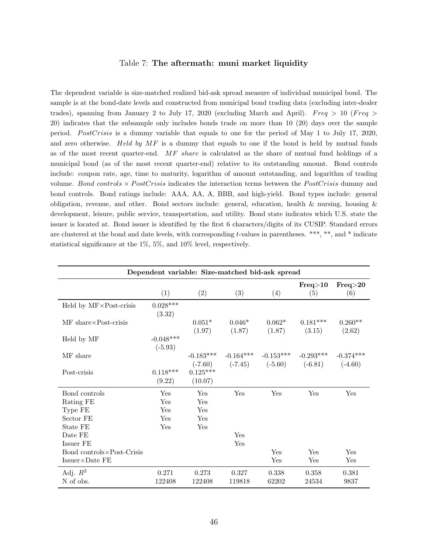#### Table 7: The aftermath: muni market liquidity

<span id="page-46-0"></span>The dependent variable is size-matched realized bid-ask spread measure of individual municipal bond. The sample is at the bond-date levels and constructed from municipal bond trading data (excluding inter-dealer trades), spanning from January 2 to July 17, 2020 (excluding March and April). Freq  $> 10$  (Freq  $>$ 20) indicates that the subsample only includes bonds trade on more than 10 (20) days over the sample period. PostCrisis is a dummy variable that equals to one for the period of May 1 to July 17, 2020, and zero otherwise. Held by  $MF$  is a dummy that equals to one if the bond is held by mutual funds as of the most recent quarter-end. MF share is calculated as the share of mutual fund holdings of a municipal bond (as of the most recent quarter-end) relative to its outstanding amount. Bond controls include: coupon rate, age, time to maturity, logarithm of amount outstanding, and logarithm of trading volume. Bond controls  $\times$  PostCrisis indicates the interaction terms between the PostCrisis dummy and bond controls. Bond ratings include: AAA, AA, A, BBB, and high-yield. Bond types include: general obligation, revenue, and other. Bond sectors include: general, education, health & nursing, housing & development, leisure, public service, transportation, and utility. Bond state indicates which U.S. state the issuer is located at. Bond issuer is identified by the first 6 characters/digits of its CUSIP. Standard errors are clustered at the bond and date levels, with corresponding t-values in parentheses. \*\*\*, \*\*, and \* indicate statistical significance at the 1%, 5%, and 10% level, respectively.

| Dependent variable: Size-matched bid-ask spread |                               |                          |                    |                                              |                      |                          |
|-------------------------------------------------|-------------------------------|--------------------------|--------------------|----------------------------------------------|----------------------|--------------------------|
|                                                 | (1)                           | (2)                      | (3)                | (4)                                          | Freq>10<br>(5)       | Freq>20<br>(6)           |
| Held by $MF \times Post-crisis$                 | $0.028***$<br>(3.32)          |                          |                    |                                              |                      |                          |
| $MF share\times Post-crisis$                    |                               | $0.051*$<br>(1.97)       | $0.046*$<br>(1.87) | $0.062*$<br>(1.87)                           | $0.181***$<br>(3.15) | $0.260**$<br>(2.62)      |
| Held by MF                                      | $-0.048^{***}\,$<br>$(-5.93)$ |                          |                    |                                              |                      |                          |
| MF share                                        |                               | $-0.183***$<br>$(-7.60)$ | $-0.164***$        | $-0.153***$<br>$(-7.45)$ $(-5.60)$ $(-6.81)$ | $-0.293***$          | $-0.374***$<br>$(-4.60)$ |
| Post-crisis                                     | $0.118***$<br>(9.22)          | $0.125***$<br>(10.07)    |                    |                                              |                      |                          |
| Bond controls                                   | Yes                           | Yes                      | Yes                | Yes                                          | Yes                  | Yes                      |
| Rating FE                                       | Yes                           | Yes                      |                    |                                              |                      |                          |
| Type FE                                         | Yes                           | Yes                      |                    |                                              |                      |                          |
| Sector FE                                       | Yes                           | Yes                      |                    |                                              |                      |                          |
| State FE                                        | Yes                           | Yes                      |                    |                                              |                      |                          |
| Date FE                                         |                               |                          | Yes                |                                              |                      |                          |
| Issuer FE                                       |                               |                          | Yes                |                                              |                      |                          |
| Bond controls × Post-Crisis                     |                               |                          |                    | Yes                                          | Yes                  | Yes                      |
| $Issuer \times Date FE$                         |                               |                          |                    | Yes                                          | Yes                  | Yes                      |
| Adj. $R^2$                                      | 0.271                         | 0.273                    | 0.327              | 0.338                                        | 0.358                | 0.381                    |
| N of obs.                                       | 122408                        | 122408                   | 119818             | 62202                                        | 24534                | 9837                     |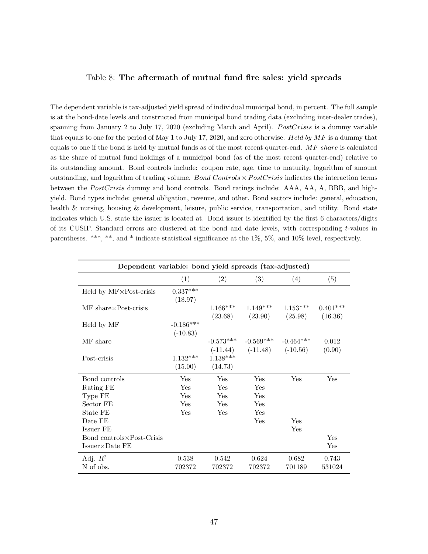#### <span id="page-47-0"></span>Table 8: The aftermath of mutual fund fire sales: yield spreads

The dependent variable is tax-adjusted yield spread of individual municipal bond, in percent. The full sample is at the bond-date levels and constructed from municipal bond trading data (excluding inter-dealer trades), spanning from January 2 to July 17, 2020 (excluding March and April). PostCrisis is a dummy variable that equals to one for the period of May 1 to July 17, 2020, and zero otherwise. Held by  $MF$  is a dummy that equals to one if the bond is held by mutual funds as of the most recent quarter-end. MF share is calculated as the share of mutual fund holdings of a municipal bond (as of the most recent quarter-end) relative to its outstanding amount. Bond controls include: coupon rate, age, time to maturity, logarithm of amount outstanding, and logarithm of trading volume. Bond Controls  $\times PostCrisis$  indicates the interaction terms between the  $PostCrisis$  dummy and bond controls. Bond ratings include: AAA, AA, A, BBB, and highyield. Bond types include: general obligation, revenue, and other. Bond sectors include: general, education, health & nursing, housing & development, leisure, public service, transportation, and utility. Bond state indicates which U.S. state the issuer is located at. Bond issuer is identified by the first 6 characters/digits of its CUSIP. Standard errors are clustered at the bond and date levels, with corresponding  $t$ -values in parentheses. \*\*\*, \*\*, and \* indicate statistical significance at the 1%, 5%, and 10% level, respectively.

| Dependent variable: bond yield spreads (tax-adjusted) |                           |                       |                                                 |                       |                       |  |
|-------------------------------------------------------|---------------------------|-----------------------|-------------------------------------------------|-----------------------|-----------------------|--|
|                                                       | (1)                       | (2)                   | (3)                                             | (4)                   | (5)                   |  |
| Held by $MF \times Post-crisis$                       | $0.337***$<br>(18.97)     |                       |                                                 |                       |                       |  |
| $MF share\times Post-crisis$                          |                           | $1.166***$<br>(23.68) | $1.149***$<br>(23.90)                           | $1.153***$<br>(25.98) | $0.401***$<br>(16.36) |  |
| Held by MF                                            | $-0.186***$<br>$(-10.83)$ |                       |                                                 |                       |                       |  |
| MF share                                              |                           | $-0.573***$           | $-0.569***$<br>$(-11.44)$ $(-11.48)$ $(-10.56)$ | $-0.464***$           | 0.012<br>(0.90)       |  |
| Post-crisis                                           | $1.132***$<br>(15.00)     | $1.138***$<br>(14.73) |                                                 |                       |                       |  |
| Bond controls                                         | Yes                       | Yes                   | Yes                                             | Yes                   | Yes                   |  |
| Rating FE                                             | Yes                       | Yes                   | Yes                                             |                       |                       |  |
| Type FE                                               | Yes                       | Yes                   | Yes                                             |                       |                       |  |
| Sector FE                                             | Yes                       | Yes                   | Yes                                             |                       |                       |  |
| State FE                                              | Yes                       | Yes                   | Yes                                             |                       |                       |  |
| Date FE                                               |                           |                       | Yes                                             | Yes                   |                       |  |
| Issuer FE                                             |                           |                       |                                                 | Yes                   |                       |  |
| Bond controls $\times$ Post-Crisis                    |                           |                       |                                                 |                       | Yes                   |  |
| $Issuer \times Date FE$                               |                           |                       |                                                 |                       | Yes                   |  |
| Adj. $R^2$                                            | 0.538                     | $0.542\,$             | 0.624                                           | 0.682                 | 0.743                 |  |
| N of obs.                                             | 702372                    | 702372                | 702372                                          | 701189                | 531024                |  |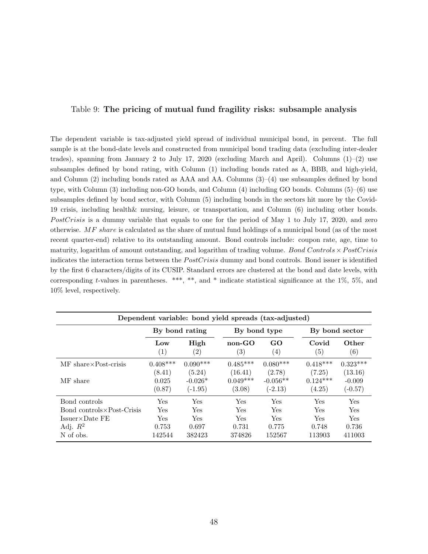#### <span id="page-48-0"></span>Table 9: The pricing of mutual fund fragility risks: subsample analysis

The dependent variable is tax-adjusted yield spread of individual municipal bond, in percent. The full sample is at the bond-date levels and constructed from municipal bond trading data (excluding inter-dealer trades), spanning from January 2 to July 17, 2020 (excluding March and April). Columns  $(1)-(2)$  use subsamples defined by bond rating, with Column (1) including bonds rated as A, BBB, and high-yield, and Column  $(2)$  including bonds rated as AAA and AA. Columns  $(3)-(4)$  use subsamples defined by bond type, with Column (3) including non-GO bonds, and Column (4) including GO bonds. Columns (5)–(6) use subsamples defined by bond sector, with Column (5) including bonds in the sectors hit more by the Covid-19 crisis, including health& nursing, leisure, or transportation, and Column (6) including other bonds. PostCrisis is a dummy variable that equals to one for the period of May 1 to July 17, 2020, and zero otherwise. MF share is calculated as the share of mutual fund holdings of a municipal bond (as of the most recent quarter-end) relative to its outstanding amount. Bond controls include: coupon rate, age, time to maturity, logarithm of amount outstanding, and logarithm of trading volume. Bond Controls  $\times PostCrisis$ indicates the interaction terms between the *PostCrisis* dummy and bond controls. Bond issuer is identified by the first 6 characters/digits of its CUSIP. Standard errors are clustered at the bond and date levels, with corresponding t-values in parentheses. \*\*\*, \*\*, and \* indicate statistical significance at the 1%, 5%, and 10% level, respectively.

| Dependent variable: bond yield spreads (tax-adjusted) |                          |                           |                               |                         |                            |                            |  |
|-------------------------------------------------------|--------------------------|---------------------------|-------------------------------|-------------------------|----------------------------|----------------------------|--|
|                                                       | By bond rating           |                           |                               | By bond type            | By bond sector             |                            |  |
|                                                       | Low<br>$\left( 1\right)$ | High<br>$\left( 2\right)$ | $non-GO$<br>$\left( 3\right)$ | GO<br>$\left( 4\right)$ | Covid<br>$\left( 5\right)$ | Other<br>$\left( 6\right)$ |  |
| $MF \; share \times Post-crisis$                      | $0.408***$               | $0.090***$                | $0.485***$                    | $0.080***$              | $0.418***$                 | $0.323***$                 |  |
|                                                       | (8.41)                   | (5.24)                    | (16.41)                       | (2.78)                  | (7.25)                     | (13.16)                    |  |
| MF share                                              | 0.025                    | $-0.026*$                 | $0.049***$                    | $-0.056**$              | $0.124***$                 | $-0.009$                   |  |
|                                                       | (0.87)                   | $(-1.95)$                 | (3.08)                        | $(-2.13)$               | (4.25)                     | $(-0.57)$                  |  |
| Bond controls                                         | Yes                      | Yes                       | Yes                           | Yes                     | Yes                        | <b>Yes</b>                 |  |
| Bond controls × Post-Crisis                           | Yes                      | Yes                       | Yes                           | Yes                     | <b>Yes</b>                 | Yes                        |  |
| $Issuer \times Date FE$                               | <b>Yes</b>               | <b>Yes</b>                | Yes                           | <b>Yes</b>              | Yes                        | <b>Yes</b>                 |  |
| Adj. $R^2$                                            | 0.753                    | 0.697                     | 0.731                         | 0.775                   | 0.748                      | 0.736                      |  |
| N of obs.                                             | 142544                   | 382423                    | 374826                        | 152567                  | 113903                     | 411003                     |  |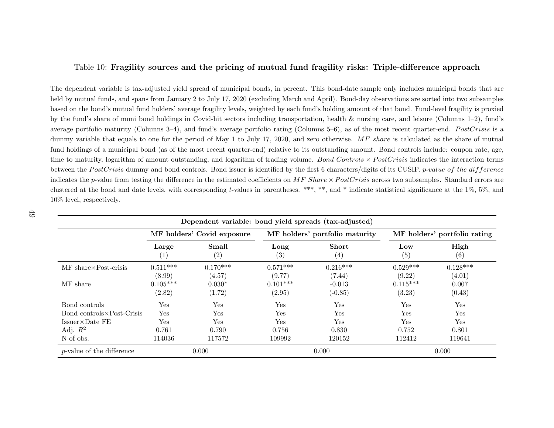#### <span id="page-49-0"></span>Table 10: Fragility sources and the pricing of mutual fund fragility risks: Triple-difference approach

The dependent variable is tax-adjusted <sup>y</sup>ield spread of municipal bonds, in percent. This bond-date sample only includes municipal bonds that areheld by mutual funds, and spans from January <sup>2</sup> to July 17, <sup>2020</sup> (excluding March and April). Bond-day observations are sorted into two subsamplesbased on the bond's mutual fund holders' average fragility levels, weighted by each fund's holding amount of that bond. Fund-level fragility is proxiedby the fund's share of muni bond holdings in Covid-hit sectors including transportation, health & nursing care, and leisure (Columns 1–2), fund'saverage portfolio maturity (Columns 3–4), and fund's average portfolio rating (Columns 5–6), as of the most recent quarter-end.  $PostCrisis$  is a dummy variable that equals to one for the period of May 1 to July 17, 2020, and zero otherwise.  $MF$  share is calculated as the share of mutual fund holdings of a municipal bond (as of the most recent quarter-end) relative to its outstanding amount. Bond controls include: coupon rate, age, time to maturity, logarithm of amount outstanding, and logarithm of trading volume.  $Bond$   $Controls \times PostCrisis$  indicates the interaction terms between the  $PostCrisis$  dummy and bond controls. Bond issuer is identified by the first 6 characters/digits of its CUSIP. *p-value of the difference* indicates the p-value from testing the difference in the estimated coefficients on  $MF$  Share  $\times PostCrisis$  across two subsamples. Standard errors are clustered at the bond and date levels, with corresponding <sup>t</sup>-values in parentheses. \*\*\*, \*\*, and \* indicate statistical significance at the 1%, 5%, and10% level, respectively.

| Dependent variable: bond yield spreads (tax-adjusted) |                            |                            |                           |                                |                              |                      |
|-------------------------------------------------------|----------------------------|----------------------------|---------------------------|--------------------------------|------------------------------|----------------------|
|                                                       | MF holders' Covid exposure |                            |                           | MF holders' portfolio maturity | MF holders' portfolio rating |                      |
|                                                       | Large<br>(1)               | Small<br>$\left( 2\right)$ | Long<br>$\left( 3\right)$ | Short<br>(4)                   | Low<br>(5)                   | High<br>(6)          |
| MF share × Post-crisis                                | $0.511***$<br>(8.99)       | $0.170***$<br>(4.57)       | $0.571***$<br>(9.77)      | $0.216***$<br>(7.44)           | $0.529***$<br>(9.22)         | $0.128***$<br>(4.01) |
| MF share                                              | $0.105***$<br>(2.82)       | $0.030*$<br>(1.72)         | $0.101***$<br>(2.95)      | $-0.013$<br>$(-0.85)$          | $0.115***$<br>(3.23)         | 0.007<br>(0.43)      |
| Bond controls                                         | Yes                        | Yes                        | Yes                       | Yes                            | Yes                          | Yes                  |
| Bond controls × Post-Crisis                           | Yes                        | Yes                        | Yes                       | Yes                            | Yes                          | Yes                  |
| $Issuer \times Date FE$                               | Yes                        | Yes                        | Yes                       | Yes                            | Yes                          | Yes                  |
| Adj. $R^2$                                            | 0.761                      | 0.790                      | 0.756                     | 0.830                          | 0.752                        | 0.801                |
| N of obs.                                             | 114036                     | 117572                     | 109992                    | 120152                         | 112412                       | 119641               |
| <i>p</i> -value of the difference                     |                            | 0.000                      |                           | 0.000                          |                              | 0.000                |